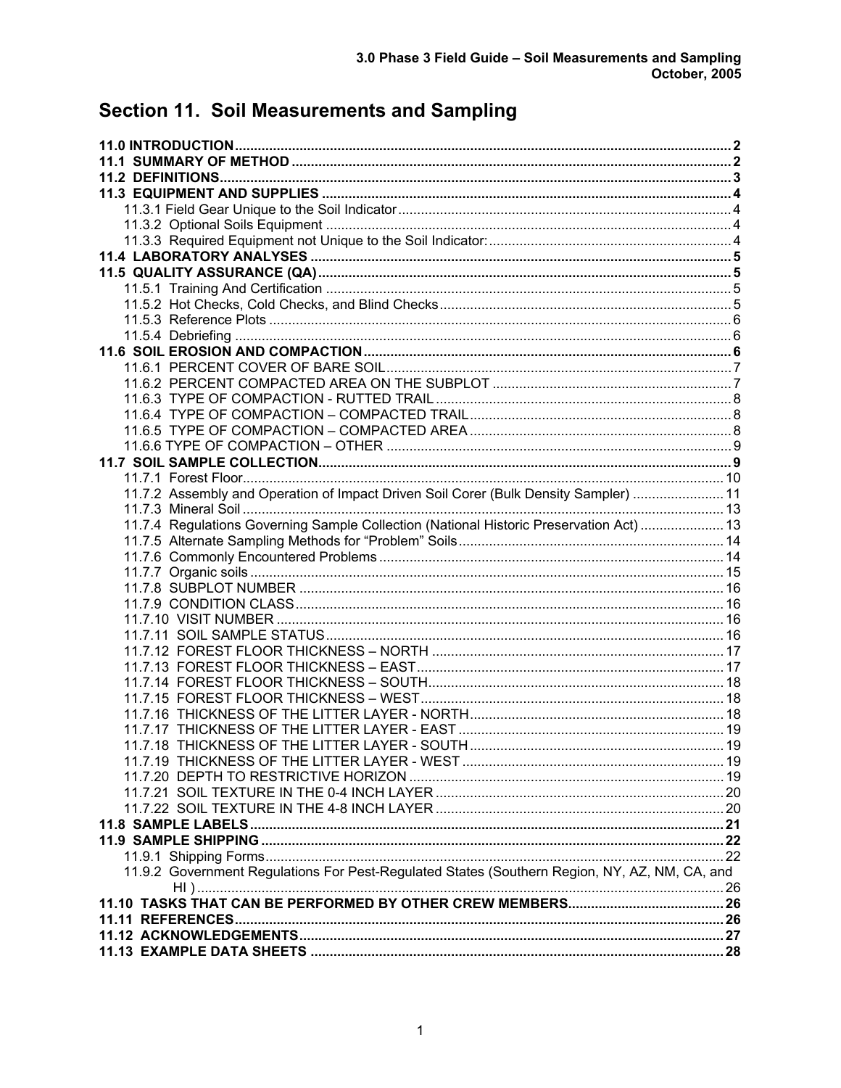# **Section 11. Soil Measurements and Sampling**

| 11.7.2 Assembly and Operation of Impact Driven Soil Corer (Bulk Density Sampler)  11          |  |
|-----------------------------------------------------------------------------------------------|--|
|                                                                                               |  |
|                                                                                               |  |
| 11.7.4 Regulations Governing Sample Collection (National Historic Preservation Act)  13       |  |
|                                                                                               |  |
|                                                                                               |  |
|                                                                                               |  |
|                                                                                               |  |
|                                                                                               |  |
|                                                                                               |  |
|                                                                                               |  |
|                                                                                               |  |
|                                                                                               |  |
|                                                                                               |  |
|                                                                                               |  |
|                                                                                               |  |
|                                                                                               |  |
|                                                                                               |  |
|                                                                                               |  |
|                                                                                               |  |
|                                                                                               |  |
|                                                                                               |  |
|                                                                                               |  |
|                                                                                               |  |
|                                                                                               |  |
| 11.9.2 Government Regulations For Pest-Regulated States (Southern Region, NY, AZ, NM, CA, and |  |
|                                                                                               |  |
|                                                                                               |  |
|                                                                                               |  |
|                                                                                               |  |
|                                                                                               |  |
|                                                                                               |  |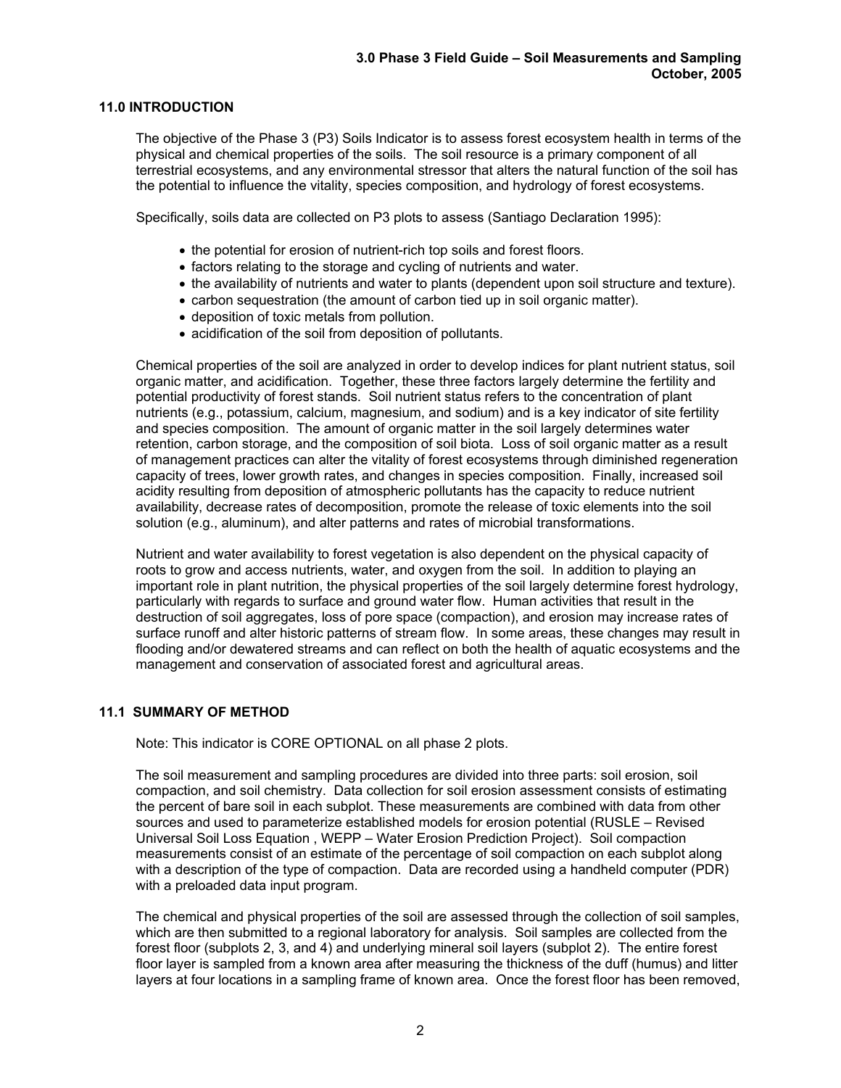# **11.0 INTRODUCTION**

The objective of the Phase 3 (P3) Soils Indicator is to assess forest ecosystem health in terms of the physical and chemical properties of the soils. The soil resource is a primary component of all terrestrial ecosystems, and any environmental stressor that alters the natural function of the soil has the potential to influence the vitality, species composition, and hydrology of forest ecosystems.

Specifically, soils data are collected on P3 plots to assess (Santiago Declaration 1995):

- the potential for erosion of nutrient-rich top soils and forest floors.
- factors relating to the storage and cycling of nutrients and water.
- the availability of nutrients and water to plants (dependent upon soil structure and texture).
- carbon sequestration (the amount of carbon tied up in soil organic matter).
- deposition of toxic metals from pollution.
- acidification of the soil from deposition of pollutants.

Chemical properties of the soil are analyzed in order to develop indices for plant nutrient status, soil organic matter, and acidification. Together, these three factors largely determine the fertility and potential productivity of forest stands. Soil nutrient status refers to the concentration of plant nutrients (e.g., potassium, calcium, magnesium, and sodium) and is a key indicator of site fertility and species composition. The amount of organic matter in the soil largely determines water retention, carbon storage, and the composition of soil biota. Loss of soil organic matter as a result of management practices can alter the vitality of forest ecosystems through diminished regeneration capacity of trees, lower growth rates, and changes in species composition. Finally, increased soil acidity resulting from deposition of atmospheric pollutants has the capacity to reduce nutrient availability, decrease rates of decomposition, promote the release of toxic elements into the soil solution (e.g., aluminum), and alter patterns and rates of microbial transformations.

Nutrient and water availability to forest vegetation is also dependent on the physical capacity of roots to grow and access nutrients, water, and oxygen from the soil. In addition to playing an important role in plant nutrition, the physical properties of the soil largely determine forest hydrology, particularly with regards to surface and ground water flow. Human activities that result in the destruction of soil aggregates, loss of pore space (compaction), and erosion may increase rates of surface runoff and alter historic patterns of stream flow. In some areas, these changes may result in flooding and/or dewatered streams and can reflect on both the health of aquatic ecosystems and the management and conservation of associated forest and agricultural areas.

## **11.1 SUMMARY OF METHOD**

Note: This indicator is CORE OPTIONAL on all phase 2 plots.

The soil measurement and sampling procedures are divided into three parts: soil erosion, soil compaction, and soil chemistry. Data collection for soil erosion assessment consists of estimating the percent of bare soil in each subplot. These measurements are combined with data from other sources and used to parameterize established models for erosion potential (RUSLE – Revised Universal Soil Loss Equation , WEPP – Water Erosion Prediction Project). Soil compaction measurements consist of an estimate of the percentage of soil compaction on each subplot along with a description of the type of compaction. Data are recorded using a handheld computer (PDR) with a preloaded data input program.

The chemical and physical properties of the soil are assessed through the collection of soil samples, which are then submitted to a regional laboratory for analysis. Soil samples are collected from the forest floor (subplots 2, 3, and 4) and underlying mineral soil layers (subplot 2). The entire forest floor layer is sampled from a known area after measuring the thickness of the duff (humus) and litter layers at four locations in a sampling frame of known area. Once the forest floor has been removed,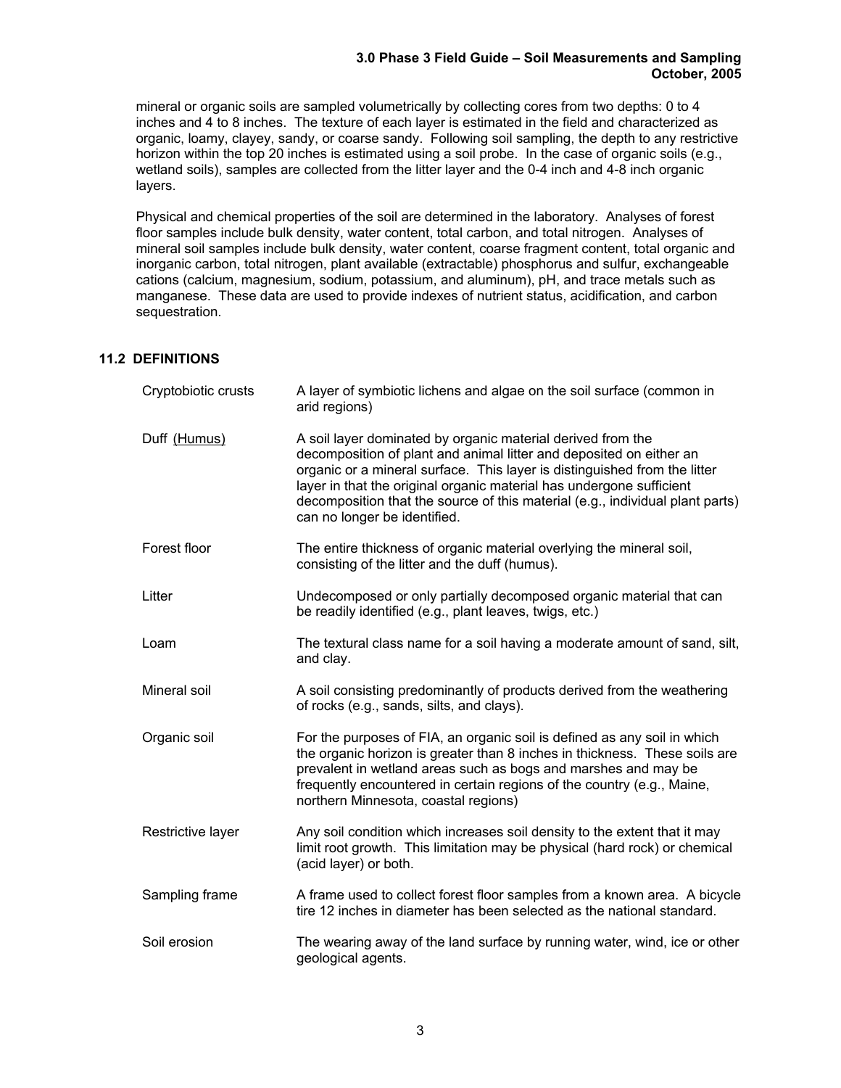mineral or organic soils are sampled volumetrically by collecting cores from two depths: 0 to 4 inches and 4 to 8 inches. The texture of each layer is estimated in the field and characterized as organic, loamy, clayey, sandy, or coarse sandy. Following soil sampling, the depth to any restrictive horizon within the top 20 inches is estimated using a soil probe. In the case of organic soils (e.g., wetland soils), samples are collected from the litter layer and the 0-4 inch and 4-8 inch organic layers.

Physical and chemical properties of the soil are determined in the laboratory. Analyses of forest floor samples include bulk density, water content, total carbon, and total nitrogen. Analyses of mineral soil samples include bulk density, water content, coarse fragment content, total organic and inorganic carbon, total nitrogen, plant available (extractable) phosphorus and sulfur, exchangeable cations (calcium, magnesium, sodium, potassium, and aluminum), pH, and trace metals such as manganese. These data are used to provide indexes of nutrient status, acidification, and carbon sequestration.

# **11.2 DEFINITIONS**

| Cryptobiotic crusts | A layer of symbiotic lichens and algae on the soil surface (common in<br>arid regions)                                                                                                                                                                                                                                                                                                                   |
|---------------------|----------------------------------------------------------------------------------------------------------------------------------------------------------------------------------------------------------------------------------------------------------------------------------------------------------------------------------------------------------------------------------------------------------|
| Duff (Humus)        | A soil layer dominated by organic material derived from the<br>decomposition of plant and animal litter and deposited on either an<br>organic or a mineral surface. This layer is distinguished from the litter<br>layer in that the original organic material has undergone sufficient<br>decomposition that the source of this material (e.g., individual plant parts)<br>can no longer be identified. |
| Forest floor        | The entire thickness of organic material overlying the mineral soil,<br>consisting of the litter and the duff (humus).                                                                                                                                                                                                                                                                                   |
| Litter              | Undecomposed or only partially decomposed organic material that can<br>be readily identified (e.g., plant leaves, twigs, etc.)                                                                                                                                                                                                                                                                           |
| Loam                | The textural class name for a soil having a moderate amount of sand, silt,<br>and clay.                                                                                                                                                                                                                                                                                                                  |
| Mineral soil        | A soil consisting predominantly of products derived from the weathering<br>of rocks (e.g., sands, silts, and clays).                                                                                                                                                                                                                                                                                     |
| Organic soil        | For the purposes of FIA, an organic soil is defined as any soil in which<br>the organic horizon is greater than 8 inches in thickness. These soils are<br>prevalent in wetland areas such as bogs and marshes and may be<br>frequently encountered in certain regions of the country (e.g., Maine,<br>northern Minnesota, coastal regions)                                                               |
| Restrictive layer   | Any soil condition which increases soil density to the extent that it may<br>limit root growth. This limitation may be physical (hard rock) or chemical<br>(acid layer) or both.                                                                                                                                                                                                                         |
| Sampling frame      | A frame used to collect forest floor samples from a known area. A bicycle<br>tire 12 inches in diameter has been selected as the national standard.                                                                                                                                                                                                                                                      |
| Soil erosion        | The wearing away of the land surface by running water, wind, ice or other<br>geological agents.                                                                                                                                                                                                                                                                                                          |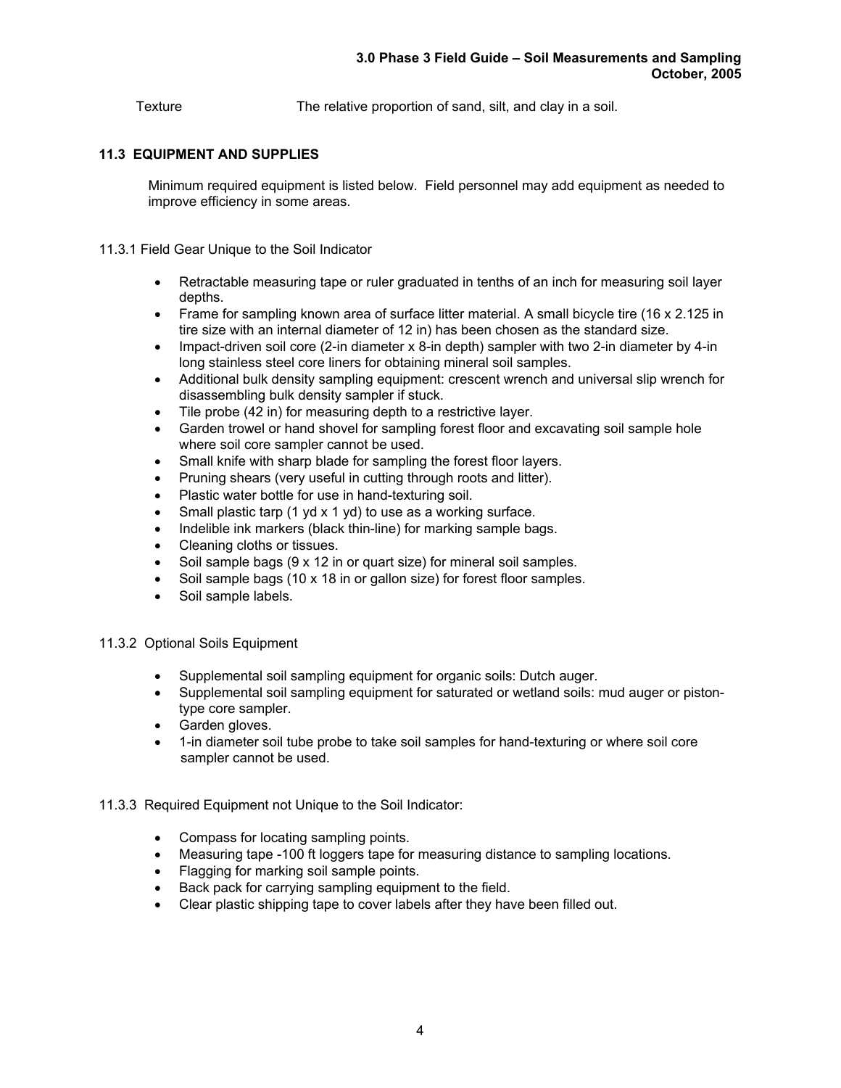Texture The relative proportion of sand, silt, and clay in a soil.

# **11.3 EQUIPMENT AND SUPPLIES**

Minimum required equipment is listed below. Field personnel may add equipment as needed to improve efficiency in some areas.

- 11.3.1 Field Gear Unique to the Soil Indicator
	- Retractable measuring tape or ruler graduated in tenths of an inch for measuring soil layer depths.
	- Frame for sampling known area of surface litter material. A small bicycle tire (16 x 2.125 in tire size with an internal diameter of 12 in) has been chosen as the standard size.
	- Impact-driven soil core (2-in diameter x 8-in depth) sampler with two 2-in diameter by 4-in long stainless steel core liners for obtaining mineral soil samples.
	- Additional bulk density sampling equipment: crescent wrench and universal slip wrench for disassembling bulk density sampler if stuck.
	- Tile probe (42 in) for measuring depth to a restrictive layer.
	- Garden trowel or hand shovel for sampling forest floor and excavating soil sample hole where soil core sampler cannot be used.
	- Small knife with sharp blade for sampling the forest floor layers.
	- Pruning shears (very useful in cutting through roots and litter).
	- Plastic water bottle for use in hand-texturing soil.
	- Small plastic tarp (1 yd x 1 yd) to use as a working surface.
	- Indelible ink markers (black thin-line) for marking sample bags.
	- Cleaning cloths or tissues.
	- Soil sample bags (9 x 12 in or quart size) for mineral soil samples.
	- Soil sample bags (10 x 18 in or gallon size) for forest floor samples.
	- Soil sample labels.

## 11.3.2 Optional Soils Equipment

- Supplemental soil sampling equipment for organic soils: Dutch auger.
- Supplemental soil sampling equipment for saturated or wetland soils: mud auger or pistontype core sampler.
- Garden gloves.
- 1-in diameter soil tube probe to take soil samples for hand-texturing or where soil core sampler cannot be used.
- 11.3.3 Required Equipment not Unique to the Soil Indicator:
	- Compass for locating sampling points.
	- Measuring tape -100 ft loggers tape for measuring distance to sampling locations.
	- Flagging for marking soil sample points.
	- Back pack for carrying sampling equipment to the field.
	- Clear plastic shipping tape to cover labels after they have been filled out.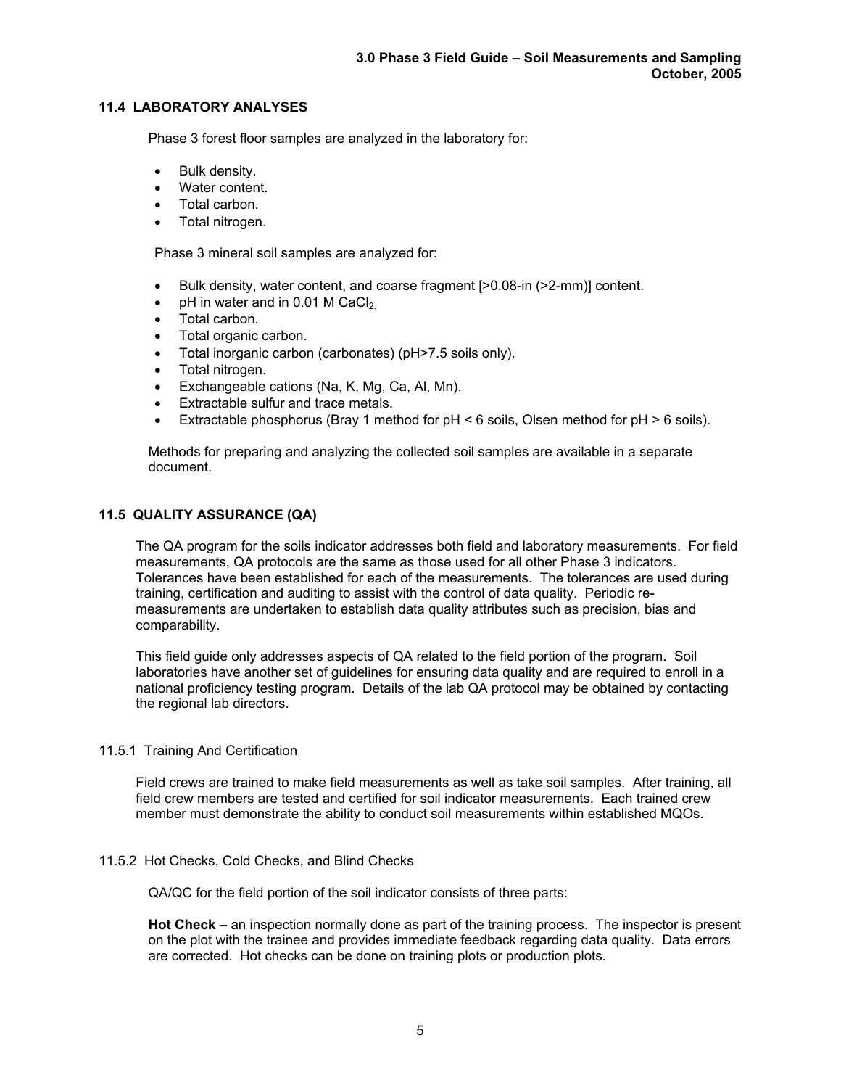# **11.4 LABORATORY ANALYSES**

Phase 3 forest floor samples are analyzed in the laboratory for:

- Bulk density.
- Water content.
- Total carbon.
- Total nitrogen.

Phase 3 mineral soil samples are analyzed for:

- Bulk density, water content, and coarse fragment [>0.08-in (>2-mm)] content.
- pH in water and in 0.01 M CaCl<sub>2</sub>.
- Total carbon.
- Total organic carbon.
- Total inorganic carbon (carbonates) (pH>7.5 soils only).
- Total nitrogen.
- Exchangeable cations (Na, K, Mg, Ca, Al, Mn).
- Extractable sulfur and trace metals.
- Extractable phosphorus (Bray 1 method for pH < 6 soils, Olsen method for pH > 6 soils).

Methods for preparing and analyzing the collected soil samples are available in a separate document.

# **11.5 QUALITY ASSURANCE (QA)**

 The QA program for the soils indicator addresses both field and laboratory measurements. For field measurements, QA protocols are the same as those used for all other Phase 3 indicators. Tolerances have been established for each of the measurements. The tolerances are used during training, certification and auditing to assist with the control of data quality. Periodic remeasurements are undertaken to establish data quality attributes such as precision, bias and comparability.

This field guide only addresses aspects of QA related to the field portion of the program. Soil laboratories have another set of guidelines for ensuring data quality and are required to enroll in a national proficiency testing program. Details of the lab QA protocol may be obtained by contacting the regional lab directors.

## 11.5.1 Training And Certification

Field crews are trained to make field measurements as well as take soil samples. After training, all field crew members are tested and certified for soil indicator measurements. Each trained crew member must demonstrate the ability to conduct soil measurements within established MQOs.

# 11.5.2 Hot Checks, Cold Checks, and Blind Checks

QA/QC for the field portion of the soil indicator consists of three parts:

 **Hot Check –** an inspection normally done as part of the training process. The inspector is present on the plot with the trainee and provides immediate feedback regarding data quality. Data errors are corrected. Hot checks can be done on training plots or production plots.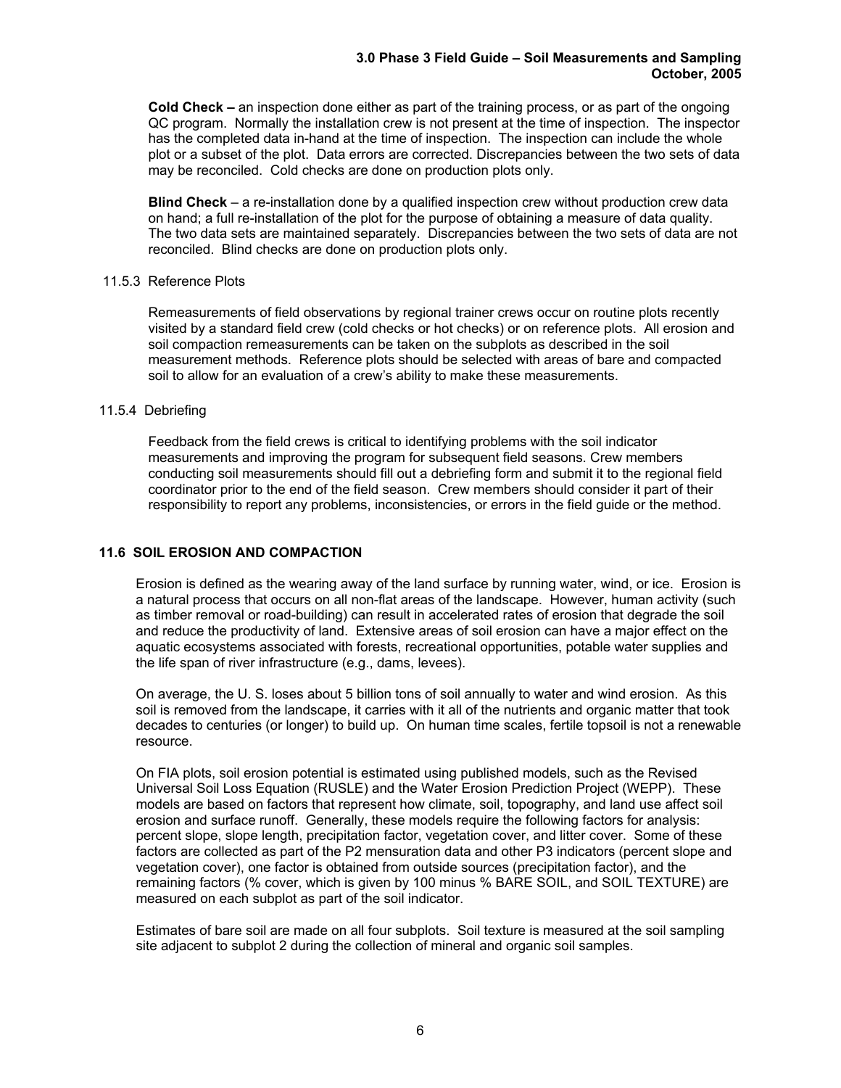**Cold Check –** an inspection done either as part of the training process, or as part of the ongoing QC program. Normally the installation crew is not present at the time of inspection. The inspector has the completed data in-hand at the time of inspection. The inspection can include the whole plot or a subset of the plot. Data errors are corrected. Discrepancies between the two sets of data may be reconciled. Cold checks are done on production plots only.

 **Blind Check** – a re-installation done by a qualified inspection crew without production crew data on hand; a full re-installation of the plot for the purpose of obtaining a measure of data quality. The two data sets are maintained separately. Discrepancies between the two sets of data are not reconciled. Blind checks are done on production plots only.

## 11.5.3 Reference Plots

Remeasurements of field observations by regional trainer crews occur on routine plots recently visited by a standard field crew (cold checks or hot checks) or on reference plots. All erosion and soil compaction remeasurements can be taken on the subplots as described in the soil measurement methods. Reference plots should be selected with areas of bare and compacted soil to allow for an evaluation of a crew's ability to make these measurements.

#### 11.5.4 Debriefing

Feedback from the field crews is critical to identifying problems with the soil indicator measurements and improving the program for subsequent field seasons. Crew members conducting soil measurements should fill out a debriefing form and submit it to the regional field coordinator prior to the end of the field season. Crew members should consider it part of their responsibility to report any problems, inconsistencies, or errors in the field guide or the method.

## **11.6 SOIL EROSION AND COMPACTION**

Erosion is defined as the wearing away of the land surface by running water, wind, or ice. Erosion is a natural process that occurs on all non-flat areas of the landscape. However, human activity (such as timber removal or road-building) can result in accelerated rates of erosion that degrade the soil and reduce the productivity of land. Extensive areas of soil erosion can have a major effect on the aquatic ecosystems associated with forests, recreational opportunities, potable water supplies and the life span of river infrastructure (e.g., dams, levees).

On average, the U. S. loses about 5 billion tons of soil annually to water and wind erosion. As this soil is removed from the landscape, it carries with it all of the nutrients and organic matter that took decades to centuries (or longer) to build up. On human time scales, fertile topsoil is not a renewable resource.

On FIA plots, soil erosion potential is estimated using published models, such as the Revised Universal Soil Loss Equation (RUSLE) and the Water Erosion Prediction Project (WEPP). These models are based on factors that represent how climate, soil, topography, and land use affect soil erosion and surface runoff. Generally, these models require the following factors for analysis: percent slope, slope length, precipitation factor, vegetation cover, and litter cover. Some of these factors are collected as part of the P2 mensuration data and other P3 indicators (percent slope and vegetation cover), one factor is obtained from outside sources (precipitation factor), and the remaining factors (% cover, which is given by 100 minus % BARE SOIL, and SOIL TEXTURE) are measured on each subplot as part of the soil indicator.

Estimates of bare soil are made on all four subplots. Soil texture is measured at the soil sampling site adjacent to subplot 2 during the collection of mineral and organic soil samples.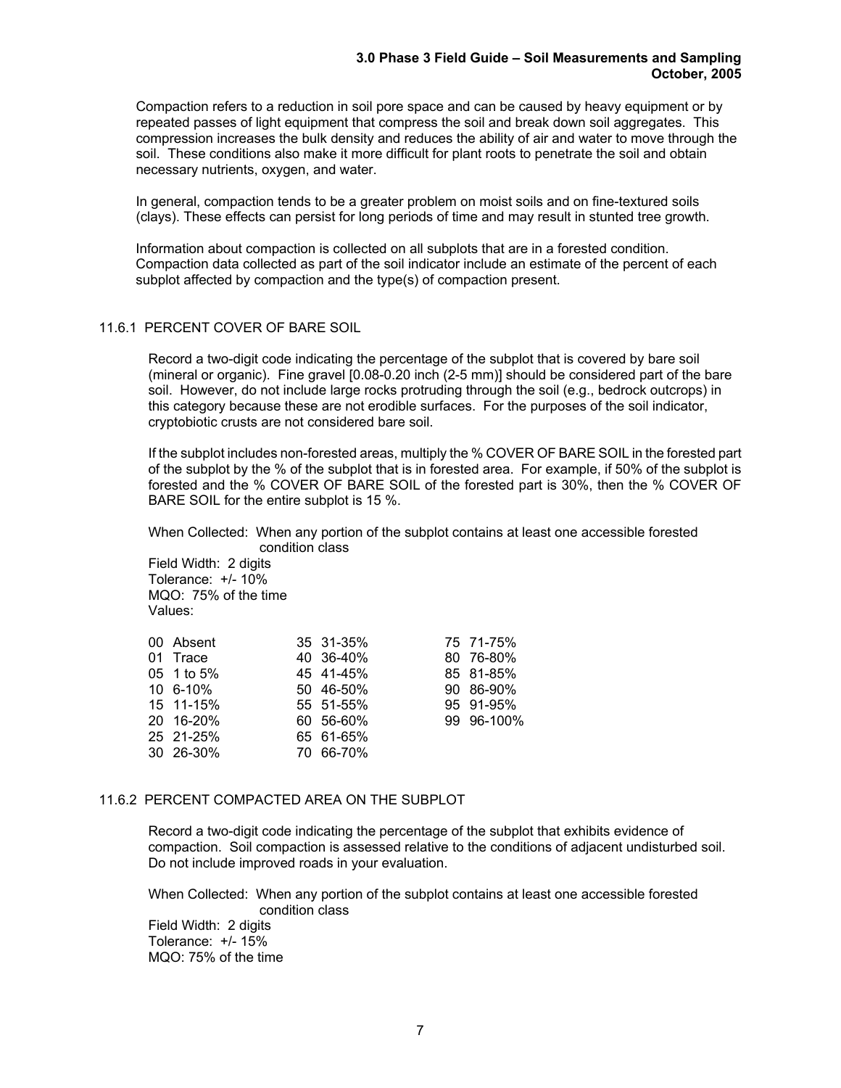Compaction refers to a reduction in soil pore space and can be caused by heavy equipment or by repeated passes of light equipment that compress the soil and break down soil aggregates. This compression increases the bulk density and reduces the ability of air and water to move through the soil. These conditions also make it more difficult for plant roots to penetrate the soil and obtain necessary nutrients, oxygen, and water.

In general, compaction tends to be a greater problem on moist soils and on fine-textured soils (clays). These effects can persist for long periods of time and may result in stunted tree growth.

Information about compaction is collected on all subplots that are in a forested condition. Compaction data collected as part of the soil indicator include an estimate of the percent of each subplot affected by compaction and the type(s) of compaction present.

## 11.6.1 PERCENT COVER OF BARE SOIL

Record a two-digit code indicating the percentage of the subplot that is covered by bare soil (mineral or organic). Fine gravel [0.08-0.20 inch (2-5 mm)] should be considered part of the bare soil. However, do not include large rocks protruding through the soil (e.g., bedrock outcrops) in this category because these are not erodible surfaces. For the purposes of the soil indicator, cryptobiotic crusts are not considered bare soil.

If the subplot includes non-forested areas, multiply the % COVER OF BARE SOIL in the forested part of the subplot by the % of the subplot that is in forested area. For example, if 50% of the subplot is forested and the % COVER OF BARE SOIL of the forested part is 30%, then the % COVER OF BARE SOIL for the entire subplot is 15 %.

 When Collected: When any portion of the subplot contains at least one accessible forested condition class

 Field Width: 2 digits Tolerance: +/- 10% MQO: 75% of the time Values:

| 00 Absent    | 35 31-35% | 75 71-75%  |
|--------------|-----------|------------|
| 01 Trace     | 40 36-40% | 80 76-80%  |
| 05 1 to 5%   | 45 41-45% | 85 81-85%  |
| $106 - 10\%$ | 50 46-50% | 90 86-90%  |
| 15 11-15%    | 55 51-55% | 95 91-95%  |
| 20 16-20%    | 60 56-60% | 99 96-100% |
| 25 21-25%    | 65 61-65% |            |
| 30 26-30%    | 70 66-70% |            |

## 11.6.2 PERCENT COMPACTED AREA ON THE SUBPLOT

Record a two-digit code indicating the percentage of the subplot that exhibits evidence of compaction. Soil compaction is assessed relative to the conditions of adjacent undisturbed soil. Do not include improved roads in your evaluation.

 When Collected: When any portion of the subplot contains at least one accessible forested condition class Field Width: 2 digits Tolerance: +/- 15% MQO: 75% of the time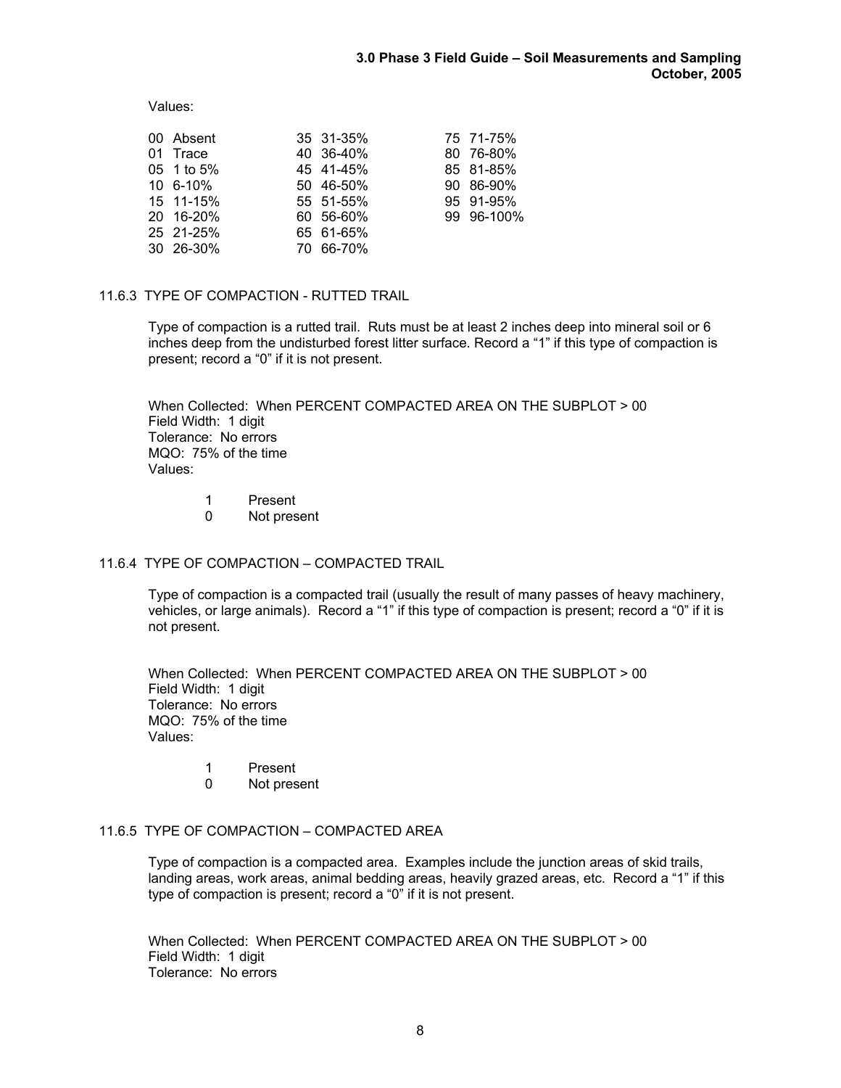Values:

| 00 Absent  | 35 31-35% | 75 71-75%  |
|------------|-----------|------------|
| 01 Trace   | 40 36-40% | 80 76-80%  |
| 05 1 to 5% | 45 41-45% | 85 81-85%  |
| 10 6-10%   | 50 46-50% | 90 86-90%  |
| 15 11-15%  | 55 51-55% | 95 91-95%  |
| 20 16-20%  | 60 56-60% | 99 96-100% |
| 25 21-25%  | 65 61-65% |            |
| 30 26-30%  | 70 66-70% |            |

# 11.6.3 TYPE OF COMPACTION - RUTTED TRAIL

 Type of compaction is a rutted trail. Ruts must be at least 2 inches deep into mineral soil or 6 inches deep from the undisturbed forest litter surface. Record a "1" if this type of compaction is present; record a "0" if it is not present.

 When Collected: When PERCENT COMPACTED AREA ON THE SUBPLOT > 00 Field Width: 1 digit Tolerance: No errors MQO: 75% of the time Values:

> 1 Present 0 Not present

## 11.6.4 TYPE OF COMPACTION – COMPACTED TRAIL

 Type of compaction is a compacted trail (usually the result of many passes of heavy machinery, vehicles, or large animals). Record a "1" if this type of compaction is present; record a "0" if it is not present.

 When Collected: When PERCENT COMPACTED AREA ON THE SUBPLOT > 00 Field Width: 1 digit Tolerance: No errors MQO: 75% of the time Values:

- 1 Present
- 0 Not present

# 11.6.5 TYPE OF COMPACTION – COMPACTED AREA

 Type of compaction is a compacted area. Examples include the junction areas of skid trails, landing areas, work areas, animal bedding areas, heavily grazed areas, etc. Record a "1" if this type of compaction is present; record a "0" if it is not present.

 When Collected: When PERCENT COMPACTED AREA ON THE SUBPLOT > 00 Field Width: 1 digit Tolerance: No errors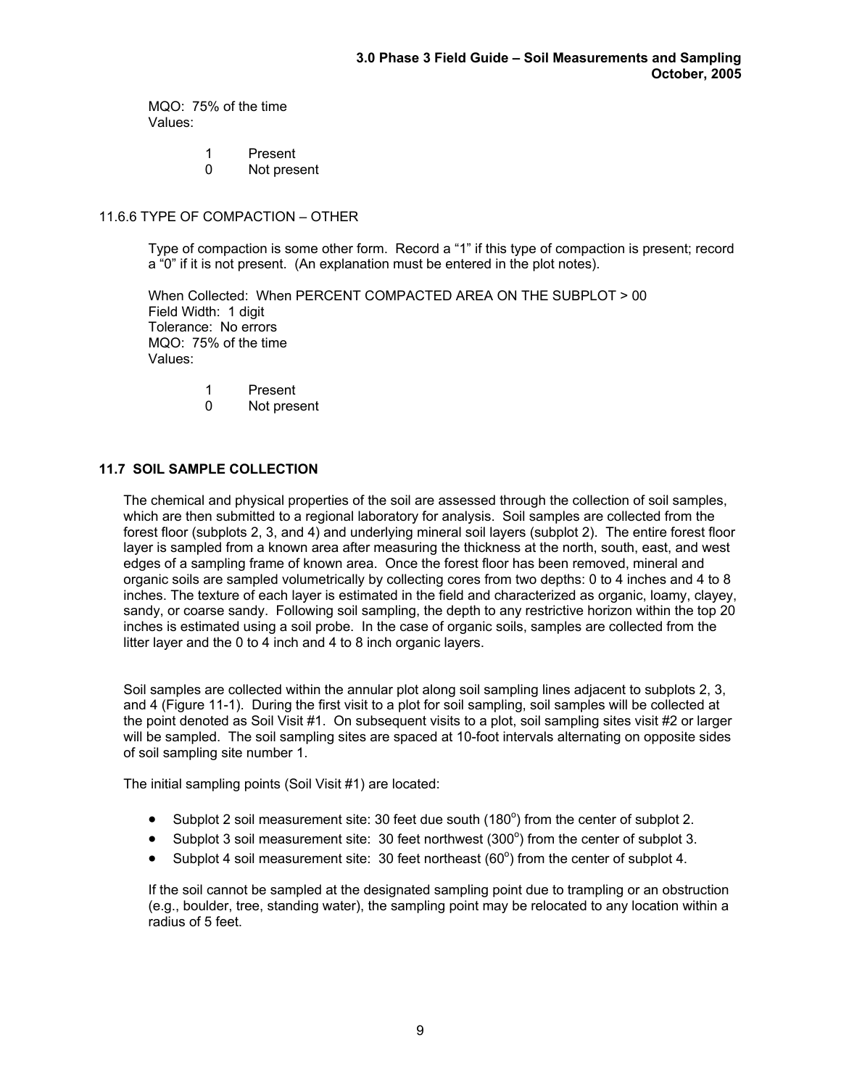MQO: 75% of the time Values:

- 1 Present<br>0 Not pres
- Not present

# 11.6.6 TYPE OF COMPACTION – OTHER

 Type of compaction is some other form. Record a "1" if this type of compaction is present; record a "0" if it is not present. (An explanation must be entered in the plot notes).

 When Collected: When PERCENT COMPACTED AREA ON THE SUBPLOT > 00 Field Width: 1 digit Tolerance: No errors MQO: 75% of the time Values:

- 1 Present
- 0 Not present

# **11.7 SOIL SAMPLE COLLECTION**

The chemical and physical properties of the soil are assessed through the collection of soil samples, which are then submitted to a regional laboratory for analysis. Soil samples are collected from the forest floor (subplots 2, 3, and 4) and underlying mineral soil layers (subplot 2). The entire forest floor layer is sampled from a known area after measuring the thickness at the north, south, east, and west edges of a sampling frame of known area. Once the forest floor has been removed, mineral and organic soils are sampled volumetrically by collecting cores from two depths: 0 to 4 inches and 4 to 8 inches. The texture of each layer is estimated in the field and characterized as organic, loamy, clayey, sandy, or coarse sandy. Following soil sampling, the depth to any restrictive horizon within the top 20 inches is estimated using a soil probe. In the case of organic soils, samples are collected from the litter layer and the 0 to 4 inch and 4 to 8 inch organic layers.

 Soil samples are collected within the annular plot along soil sampling lines adjacent to subplots 2, 3, and 4 (Figure 11-1). During the first visit to a plot for soil sampling, soil samples will be collected at the point denoted as Soil Visit #1. On subsequent visits to a plot, soil sampling sites visit #2 or larger will be sampled. The soil sampling sites are spaced at 10-foot intervals alternating on opposite sides of soil sampling site number 1.

The initial sampling points (Soil Visit #1) are located:

- Subplot 2 soil measurement site: 30 feet due south  $(180^\circ)$  from the center of subplot 2.
- Subplot 3 soil measurement site: 30 feet northwest  $(300^{\circ})$  from the center of subplot 3.
- Subplot 4 soil measurement site: 30 feet northeast  $(60^{\circ})$  from the center of subplot 4.

If the soil cannot be sampled at the designated sampling point due to trampling or an obstruction (e.g., boulder, tree, standing water), the sampling point may be relocated to any location within a radius of 5 feet.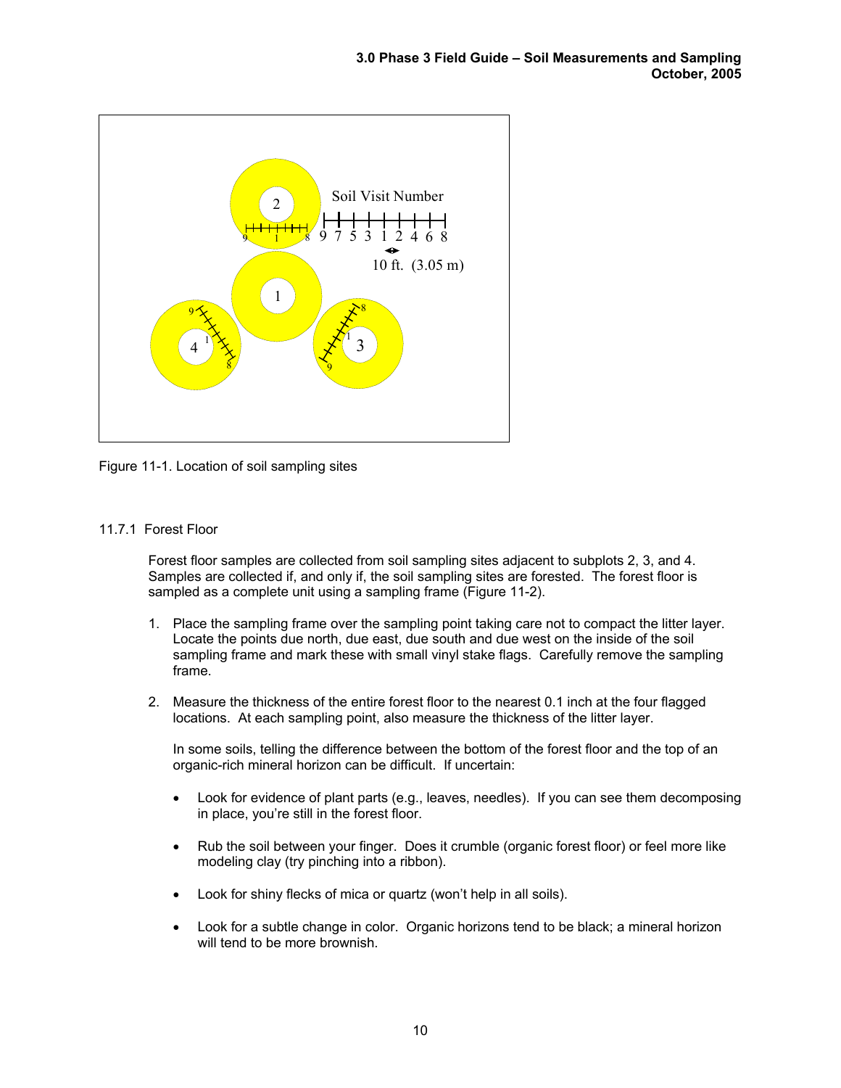

Figure 11-1. Location of soil sampling sites

# 11.7.1 Forest Floor

Forest floor samples are collected from soil sampling sites adjacent to subplots 2, 3, and 4. Samples are collected if, and only if, the soil sampling sites are forested. The forest floor is sampled as a complete unit using a sampling frame (Figure 11-2).

- 1. Place the sampling frame over the sampling point taking care not to compact the litter layer. Locate the points due north, due east, due south and due west on the inside of the soil sampling frame and mark these with small vinyl stake flags. Carefully remove the sampling frame.
- 2. Measure the thickness of the entire forest floor to the nearest 0.1 inch at the four flagged locations. At each sampling point, also measure the thickness of the litter layer.

In some soils, telling the difference between the bottom of the forest floor and the top of an organic-rich mineral horizon can be difficult. If uncertain:

- Look for evidence of plant parts (e.g., leaves, needles). If you can see them decomposing in place, you're still in the forest floor.
- Rub the soil between your finger. Does it crumble (organic forest floor) or feel more like modeling clay (try pinching into a ribbon).
- Look for shiny flecks of mica or quartz (won't help in all soils).
- Look for a subtle change in color. Organic horizons tend to be black; a mineral horizon will tend to be more brownish.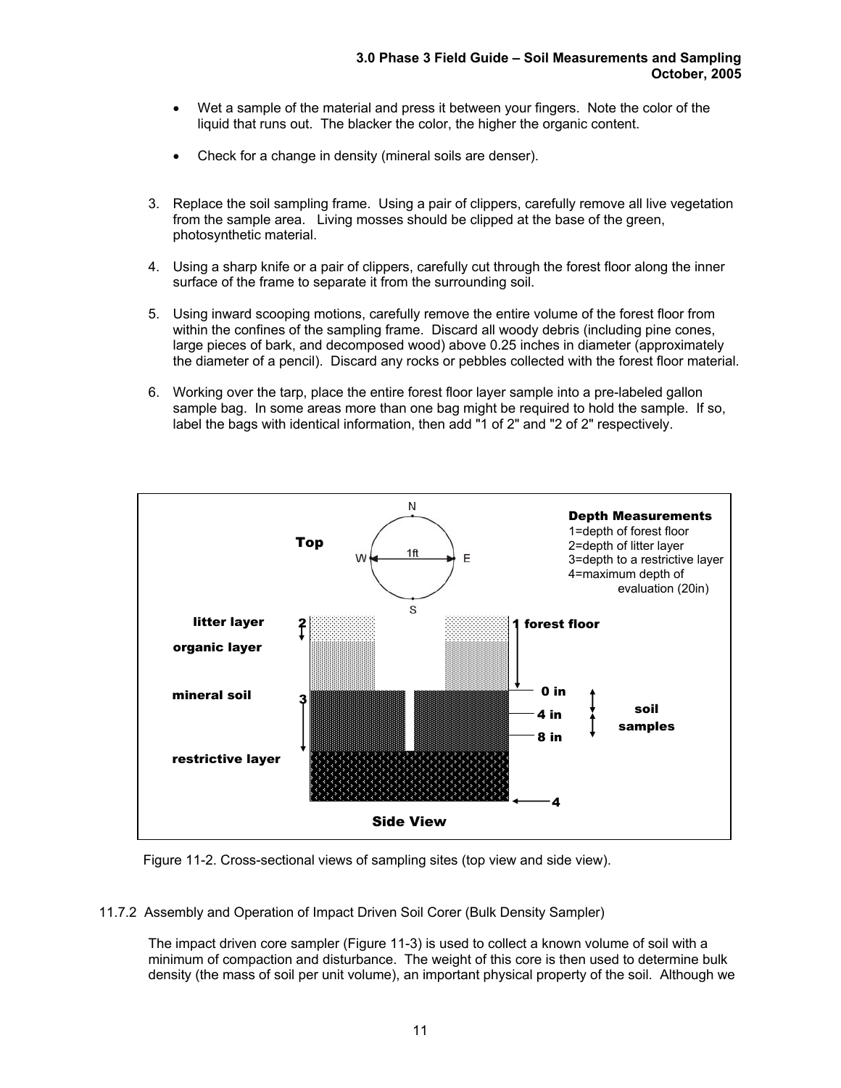- Wet a sample of the material and press it between your fingers. Note the color of the liquid that runs out. The blacker the color, the higher the organic content.
- Check for a change in density (mineral soils are denser).
- 3. Replace the soil sampling frame. Using a pair of clippers, carefully remove all live vegetation from the sample area. Living mosses should be clipped at the base of the green, photosynthetic material.
- 4. Using a sharp knife or a pair of clippers, carefully cut through the forest floor along the inner surface of the frame to separate it from the surrounding soil.
- 5. Using inward scooping motions, carefully remove the entire volume of the forest floor from within the confines of the sampling frame. Discard all woody debris (including pine cones, large pieces of bark, and decomposed wood) above 0.25 inches in diameter (approximately the diameter of a pencil). Discard any rocks or pebbles collected with the forest floor material.
- 6. Working over the tarp, place the entire forest floor layer sample into a pre-labeled gallon sample bag. In some areas more than one bag might be required to hold the sample. If so, label the bags with identical information, then add "1 of 2" and "2 of 2" respectively.



Figure 11-2. Cross-sectional views of sampling sites (top view and side view).

11.7.2 Assembly and Operation of Impact Driven Soil Corer (Bulk Density Sampler)

The impact driven core sampler (Figure 11-3) is used to collect a known volume of soil with a minimum of compaction and disturbance. The weight of this core is then used to determine bulk density (the mass of soil per unit volume), an important physical property of the soil. Although we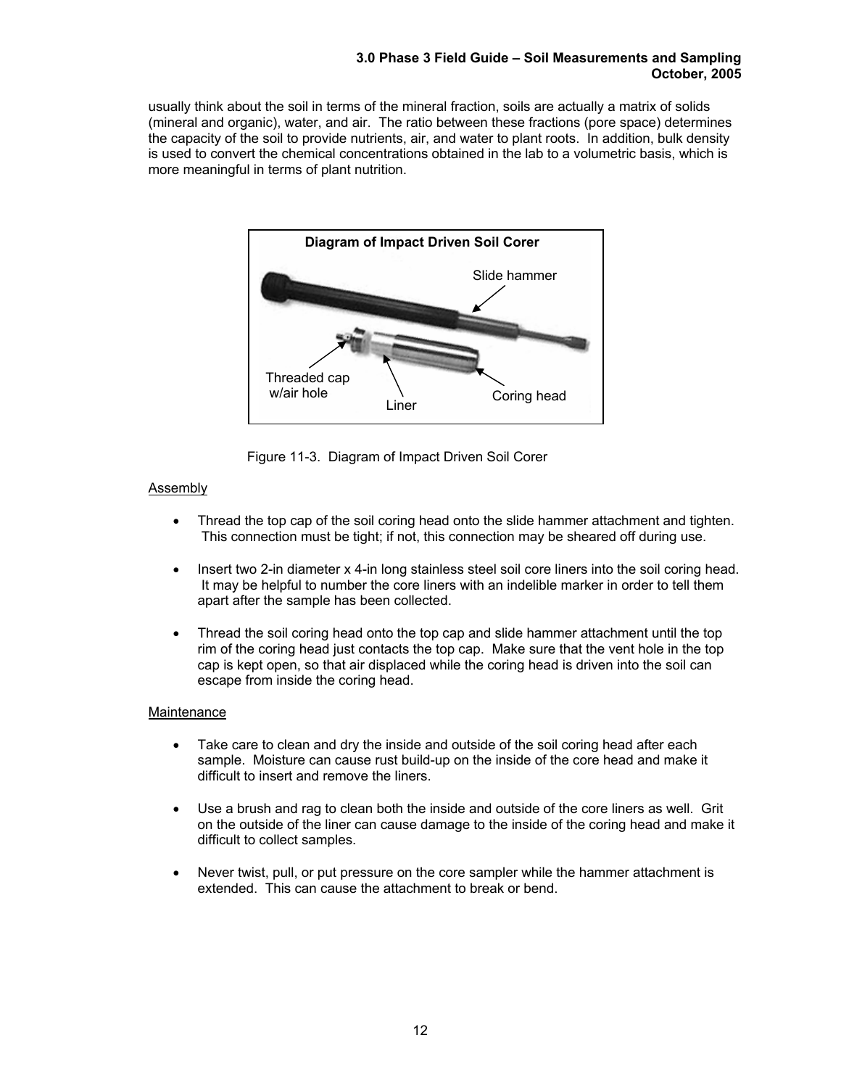#### **3.0 Phase 3 Field Guide – Soil Measurements and Sampling October, 2005**

usually think about the soil in terms of the mineral fraction, soils are actually a matrix of solids (mineral and organic), water, and air. The ratio between these fractions (pore space) determines the capacity of the soil to provide nutrients, air, and water to plant roots. In addition, bulk density is used to convert the chemical concentrations obtained in the lab to a volumetric basis, which is more meaningful in terms of plant nutrition.



Figure 11-3. Diagram of Impact Driven Soil Corer

# Assembly

- Thread the top cap of the soil coring head onto the slide hammer attachment and tighten. This connection must be tight; if not, this connection may be sheared off during use.
- Insert two 2-in diameter x 4-in long stainless steel soil core liners into the soil coring head. It may be helpful to number the core liners with an indelible marker in order to tell them apart after the sample has been collected.
- Thread the soil coring head onto the top cap and slide hammer attachment until the top rim of the coring head just contacts the top cap. Make sure that the vent hole in the top cap is kept open, so that air displaced while the coring head is driven into the soil can escape from inside the coring head.

# **Maintenance**

- Take care to clean and dry the inside and outside of the soil coring head after each sample. Moisture can cause rust build-up on the inside of the core head and make it difficult to insert and remove the liners.
- Use a brush and rag to clean both the inside and outside of the core liners as well. Grit on the outside of the liner can cause damage to the inside of the coring head and make it difficult to collect samples.
- Never twist, pull, or put pressure on the core sampler while the hammer attachment is extended. This can cause the attachment to break or bend.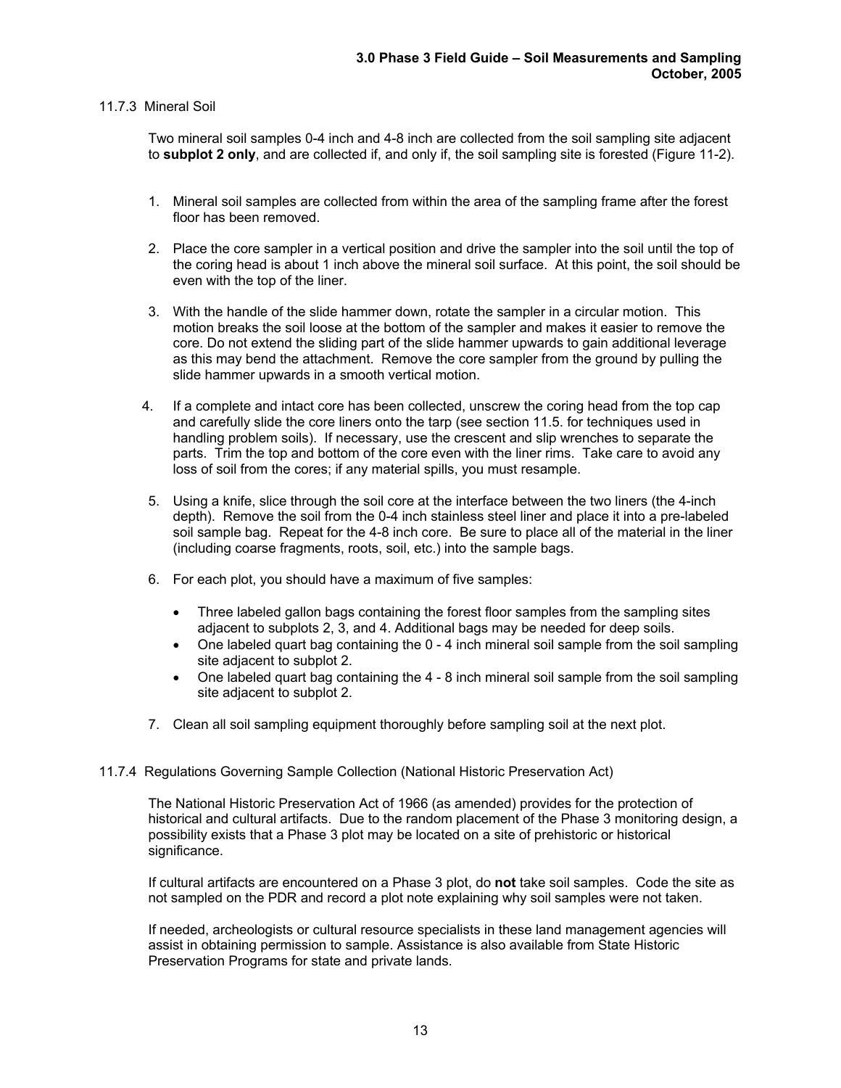# 11.7.3 Mineral Soil

Two mineral soil samples 0-4 inch and 4-8 inch are collected from the soil sampling site adjacent to **subplot 2 only**, and are collected if, and only if, the soil sampling site is forested (Figure 11-2).

- 1. Mineral soil samples are collected from within the area of the sampling frame after the forest floor has been removed.
- 2. Place the core sampler in a vertical position and drive the sampler into the soil until the top of the coring head is about 1 inch above the mineral soil surface. At this point, the soil should be even with the top of the liner.
- 3. With the handle of the slide hammer down, rotate the sampler in a circular motion. This motion breaks the soil loose at the bottom of the sampler and makes it easier to remove the core. Do not extend the sliding part of the slide hammer upwards to gain additional leverage as this may bend the attachment. Remove the core sampler from the ground by pulling the slide hammer upwards in a smooth vertical motion.
- 4. If a complete and intact core has been collected, unscrew the coring head from the top cap and carefully slide the core liners onto the tarp (see section 11.5. for techniques used in handling problem soils). If necessary, use the crescent and slip wrenches to separate the parts. Trim the top and bottom of the core even with the liner rims. Take care to avoid any loss of soil from the cores; if any material spills, you must resample.
- 5. Using a knife, slice through the soil core at the interface between the two liners (the 4-inch depth). Remove the soil from the 0-4 inch stainless steel liner and place it into a pre-labeled soil sample bag. Repeat for the 4-8 inch core. Be sure to place all of the material in the liner (including coarse fragments, roots, soil, etc.) into the sample bags.
- 6. For each plot, you should have a maximum of five samples:
	- Three labeled gallon bags containing the forest floor samples from the sampling sites adjacent to subplots 2, 3, and 4. Additional bags may be needed for deep soils.
	- One labeled quart bag containing the 0 4 inch mineral soil sample from the soil sampling site adjacent to subplot 2.
	- One labeled quart bag containing the 4 8 inch mineral soil sample from the soil sampling site adjacent to subplot 2.
- 7. Clean all soil sampling equipment thoroughly before sampling soil at the next plot.

## 11.7.4 Regulations Governing Sample Collection (National Historic Preservation Act)

The National Historic Preservation Act of 1966 (as amended) provides for the protection of historical and cultural artifacts. Due to the random placement of the Phase 3 monitoring design, a possibility exists that a Phase 3 plot may be located on a site of prehistoric or historical significance.

If cultural artifacts are encountered on a Phase 3 plot, do **not** take soil samples. Code the site as not sampled on the PDR and record a plot note explaining why soil samples were not taken.

If needed, archeologists or cultural resource specialists in these land management agencies will assist in obtaining permission to sample. Assistance is also available from State Historic Preservation Programs for state and private lands.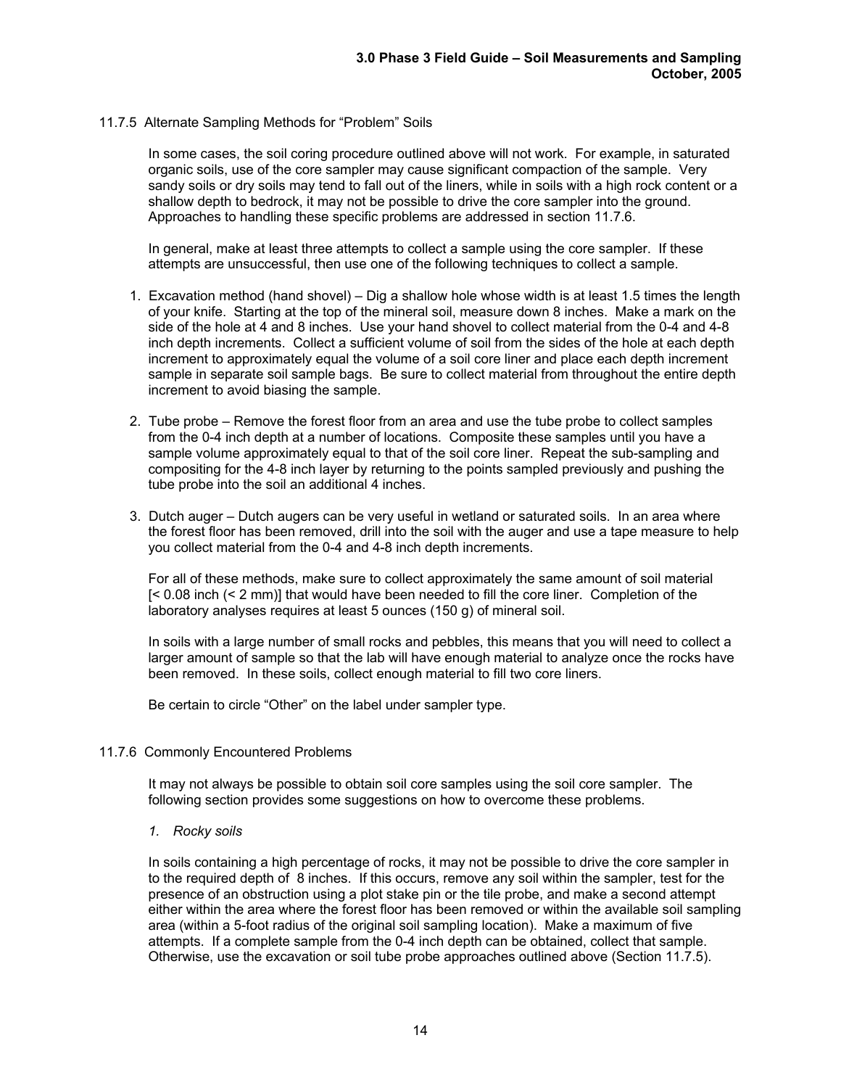## 11.7.5 Alternate Sampling Methods for "Problem" Soils

In some cases, the soil coring procedure outlined above will not work. For example, in saturated organic soils, use of the core sampler may cause significant compaction of the sample. Very sandy soils or dry soils may tend to fall out of the liners, while in soils with a high rock content or a shallow depth to bedrock, it may not be possible to drive the core sampler into the ground. Approaches to handling these specific problems are addressed in section 11.7.6.

In general, make at least three attempts to collect a sample using the core sampler. If these attempts are unsuccessful, then use one of the following techniques to collect a sample.

- 1. Excavation method (hand shovel) Dig a shallow hole whose width is at least 1.5 times the length of your knife. Starting at the top of the mineral soil, measure down 8 inches. Make a mark on the side of the hole at 4 and 8 inches. Use your hand shovel to collect material from the 0-4 and 4-8 inch depth increments. Collect a sufficient volume of soil from the sides of the hole at each depth increment to approximately equal the volume of a soil core liner and place each depth increment sample in separate soil sample bags. Be sure to collect material from throughout the entire depth increment to avoid biasing the sample.
- 2. Tube probe Remove the forest floor from an area and use the tube probe to collect samples from the 0-4 inch depth at a number of locations. Composite these samples until you have a sample volume approximately equal to that of the soil core liner. Repeat the sub-sampling and compositing for the 4-8 inch layer by returning to the points sampled previously and pushing the tube probe into the soil an additional 4 inches.
- 3. Dutch auger Dutch augers can be very useful in wetland or saturated soils. In an area where the forest floor has been removed, drill into the soil with the auger and use a tape measure to help you collect material from the 0-4 and 4-8 inch depth increments.

For all of these methods, make sure to collect approximately the same amount of soil material [< 0.08 inch (< 2 mm)] that would have been needed to fill the core liner. Completion of the laboratory analyses requires at least 5 ounces (150 g) of mineral soil.

In soils with a large number of small rocks and pebbles, this means that you will need to collect a larger amount of sample so that the lab will have enough material to analyze once the rocks have been removed. In these soils, collect enough material to fill two core liners.

Be certain to circle "Other" on the label under sampler type.

#### 11.7.6 Commonly Encountered Problems

It may not always be possible to obtain soil core samples using the soil core sampler. The following section provides some suggestions on how to overcome these problems.

*1. Rocky soils* 

In soils containing a high percentage of rocks, it may not be possible to drive the core sampler in to the required depth of 8 inches. If this occurs, remove any soil within the sampler, test for the presence of an obstruction using a plot stake pin or the tile probe, and make a second attempt either within the area where the forest floor has been removed or within the available soil sampling area (within a 5-foot radius of the original soil sampling location). Make a maximum of five attempts. If a complete sample from the 0-4 inch depth can be obtained, collect that sample. Otherwise, use the excavation or soil tube probe approaches outlined above (Section 11.7.5).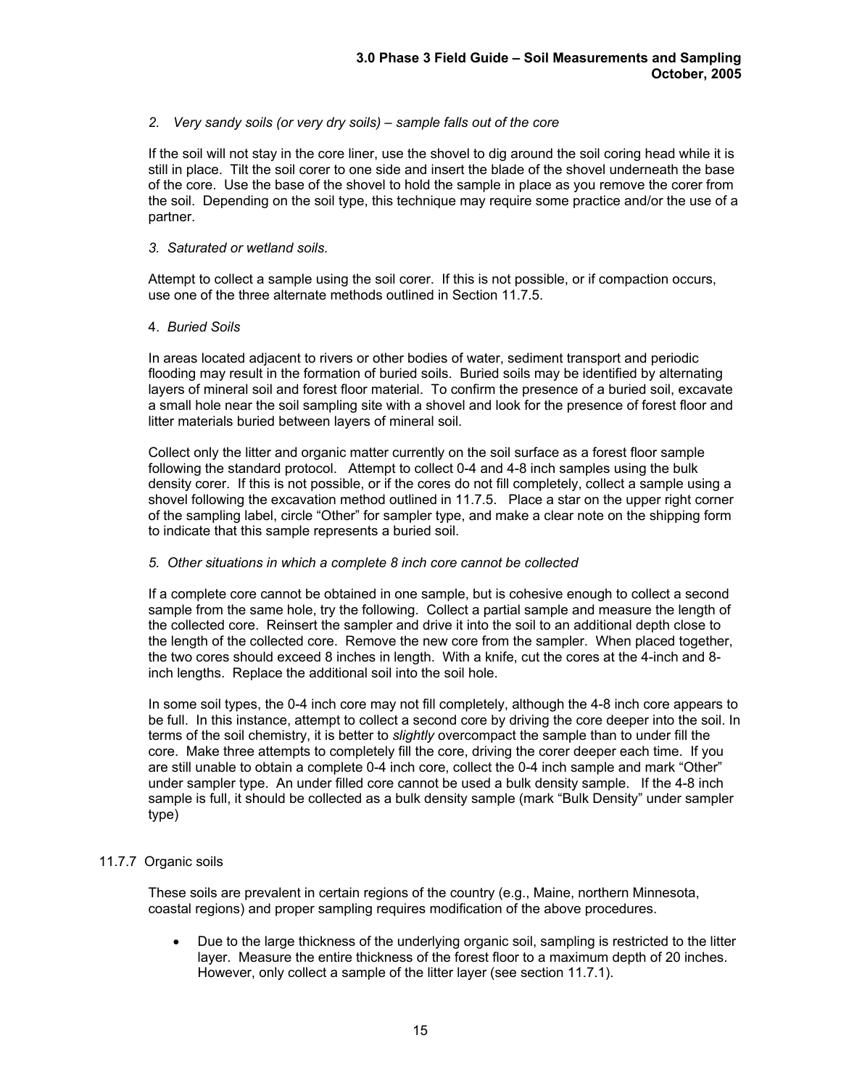# *2. Very sandy soils (or very dry soils) – sample falls out of the core*

If the soil will not stay in the core liner, use the shovel to dig around the soil coring head while it is still in place. Tilt the soil corer to one side and insert the blade of the shovel underneath the base of the core. Use the base of the shovel to hold the sample in place as you remove the corer from the soil. Depending on the soil type, this technique may require some practice and/or the use of a partner.

## *3. Saturated or wetland soils.*

Attempt to collect a sample using the soil corer. If this is not possible, or if compaction occurs, use one of the three alternate methods outlined in Section 11.7.5.

# 4. *Buried Soils*

 In areas located adjacent to rivers or other bodies of water, sediment transport and periodic flooding may result in the formation of buried soils. Buried soils may be identified by alternating layers of mineral soil and forest floor material. To confirm the presence of a buried soil, excavate a small hole near the soil sampling site with a shovel and look for the presence of forest floor and litter materials buried between layers of mineral soil.

Collect only the litter and organic matter currently on the soil surface as a forest floor sample following the standard protocol. Attempt to collect 0-4 and 4-8 inch samples using the bulk density corer. If this is not possible, or if the cores do not fill completely, collect a sample using a shovel following the excavation method outlined in 11.7.5. Place a star on the upper right corner of the sampling label, circle "Other" for sampler type, and make a clear note on the shipping form to indicate that this sample represents a buried soil.

## *5. Other situations in which a complete 8 inch core cannot be collected*

If a complete core cannot be obtained in one sample, but is cohesive enough to collect a second sample from the same hole, try the following. Collect a partial sample and measure the length of the collected core. Reinsert the sampler and drive it into the soil to an additional depth close to the length of the collected core. Remove the new core from the sampler. When placed together, the two cores should exceed 8 inches in length. With a knife, cut the cores at the 4-inch and 8 inch lengths. Replace the additional soil into the soil hole.

In some soil types, the 0-4 inch core may not fill completely, although the 4-8 inch core appears to be full. In this instance, attempt to collect a second core by driving the core deeper into the soil. In terms of the soil chemistry, it is better to *slightly* overcompact the sample than to under fill the core. Make three attempts to completely fill the core, driving the corer deeper each time. If you are still unable to obtain a complete 0-4 inch core, collect the 0-4 inch sample and mark "Other" under sampler type. An under filled core cannot be used a bulk density sample. If the 4-8 inch sample is full, it should be collected as a bulk density sample (mark "Bulk Density" under sampler type)

# 11.7.7 Organic soils

These soils are prevalent in certain regions of the country (e.g., Maine, northern Minnesota, coastal regions) and proper sampling requires modification of the above procedures.

• Due to the large thickness of the underlying organic soil, sampling is restricted to the litter layer. Measure the entire thickness of the forest floor to a maximum depth of 20 inches. However, only collect a sample of the litter layer (see section 11.7.1).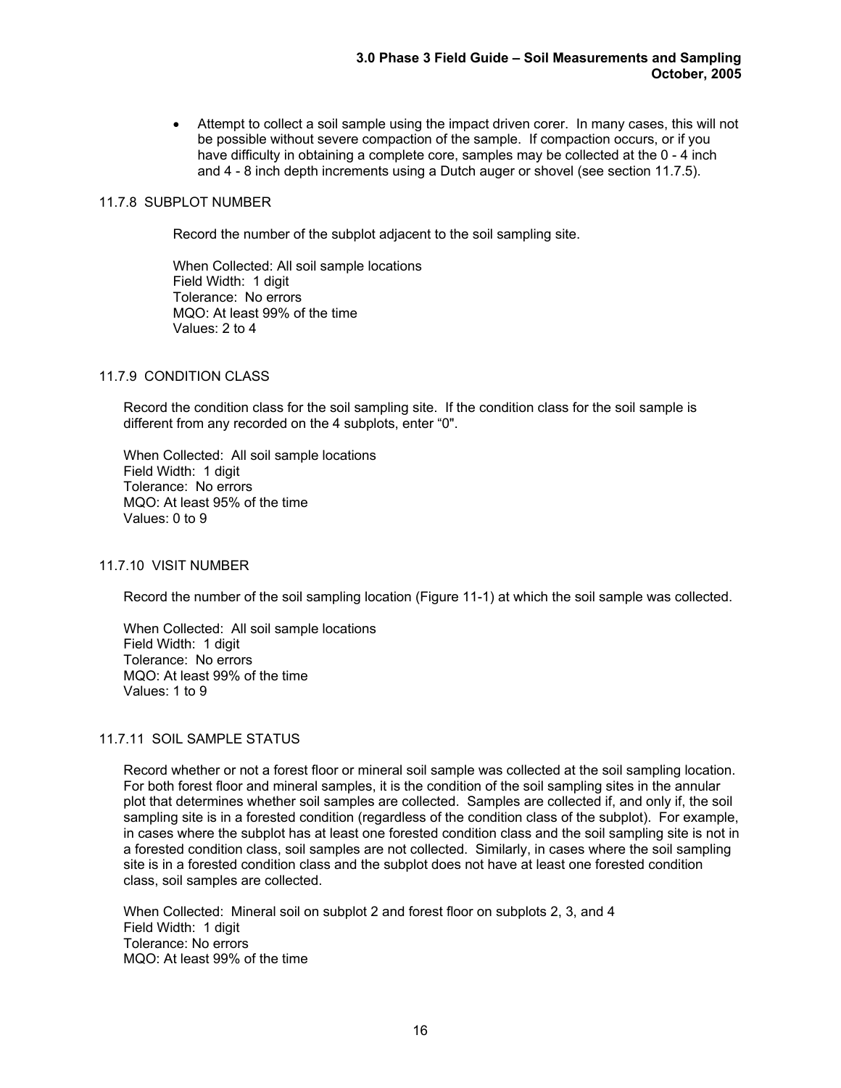• Attempt to collect a soil sample using the impact driven corer. In many cases, this will not be possible without severe compaction of the sample. If compaction occurs, or if you have difficulty in obtaining a complete core, samples may be collected at the 0 - 4 inch and 4 - 8 inch depth increments using a Dutch auger or shovel (see section 11.7.5).

# 11.7.8 SUBPLOT NUMBER

Record the number of the subplot adjacent to the soil sampling site.

 When Collected: All soil sample locations Field Width: 1 digit Tolerance: No errors MQO: At least 99% of the time Values: 2 to 4

# 11.7.9 CONDITION CLASS

Record the condition class for the soil sampling site. If the condition class for the soil sample is different from any recorded on the 4 subplots, enter "0".

 When Collected: All soil sample locations Field Width: 1 digit Tolerance: No errors MQO: At least 95% of the time Values: 0 to 9

## 11.7.10 VISIT NUMBER

Record the number of the soil sampling location (Figure 11-1) at which the soil sample was collected.

 When Collected: All soil sample locations Field Width: 1 digit Tolerance: No errors MQO: At least 99% of the time Values: 1 to 9

# 11.7.11 SOIL SAMPLE STATUS

Record whether or not a forest floor or mineral soil sample was collected at the soil sampling location. For both forest floor and mineral samples, it is the condition of the soil sampling sites in the annular plot that determines whether soil samples are collected. Samples are collected if, and only if, the soil sampling site is in a forested condition (regardless of the condition class of the subplot). For example, in cases where the subplot has at least one forested condition class and the soil sampling site is not in a forested condition class, soil samples are not collected. Similarly, in cases where the soil sampling site is in a forested condition class and the subplot does not have at least one forested condition class, soil samples are collected.

 When Collected: Mineral soil on subplot 2 and forest floor on subplots 2, 3, and 4 Field Width: 1 digit Tolerance: No errors MQO: At least 99% of the time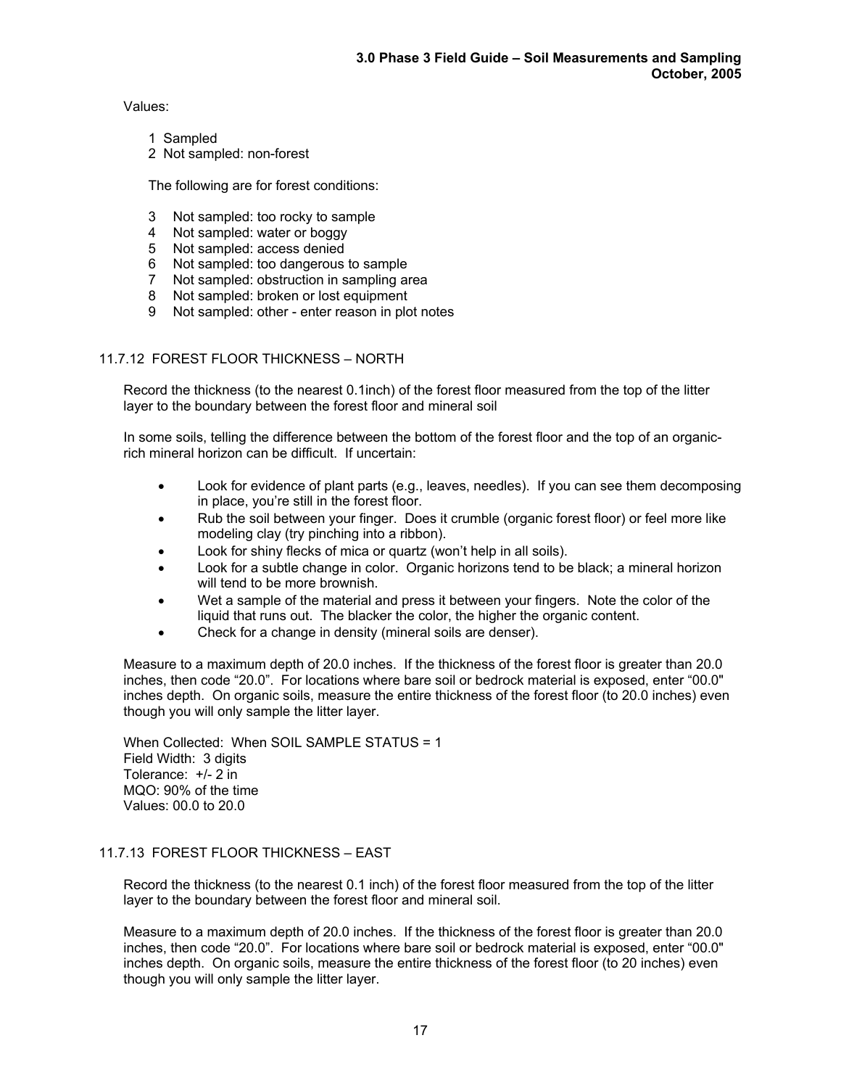Values:

1 Sampled

2 Not sampled: non-forest

The following are for forest conditions:

- 3 Not sampled: too rocky to sample
- 4 Not sampled: water or boggy
- 5 Not sampled: access denied
- 6 Not sampled: too dangerous to sample
- 7 Not sampled: obstruction in sampling area
- 8 Not sampled: broken or lost equipment
- 9 Not sampled: other enter reason in plot notes

# 11.7.12 FOREST FLOOR THICKNESS – NORTH

Record the thickness (to the nearest 0.1inch) of the forest floor measured from the top of the litter layer to the boundary between the forest floor and mineral soil

In some soils, telling the difference between the bottom of the forest floor and the top of an organicrich mineral horizon can be difficult. If uncertain:

- Look for evidence of plant parts (e.g., leaves, needles). If you can see them decomposing in place, you're still in the forest floor.
- Rub the soil between your finger. Does it crumble (organic forest floor) or feel more like modeling clay (try pinching into a ribbon).
- Look for shiny flecks of mica or quartz (won't help in all soils).
- Look for a subtle change in color. Organic horizons tend to be black; a mineral horizon will tend to be more brownish.
- Wet a sample of the material and press it between your fingers. Note the color of the liquid that runs out. The blacker the color, the higher the organic content.
- Check for a change in density (mineral soils are denser).

Measure to a maximum depth of 20.0 inches. If the thickness of the forest floor is greater than 20.0 inches, then code "20.0". For locations where bare soil or bedrock material is exposed, enter "00.0" inches depth. On organic soils, measure the entire thickness of the forest floor (to 20.0 inches) even though you will only sample the litter layer.

 When Collected: When SOIL SAMPLE STATUS = 1 Field Width: 3 digits Tolerance: +/- 2 in MQO: 90% of the time Values: 00.0 to 20.0

# 11.7.13 FOREST FLOOR THICKNESS – EAST

Record the thickness (to the nearest 0.1 inch) of the forest floor measured from the top of the litter layer to the boundary between the forest floor and mineral soil.

Measure to a maximum depth of 20.0 inches. If the thickness of the forest floor is greater than 20.0 inches, then code "20.0". For locations where bare soil or bedrock material is exposed, enter "00.0" inches depth. On organic soils, measure the entire thickness of the forest floor (to 20 inches) even though you will only sample the litter layer.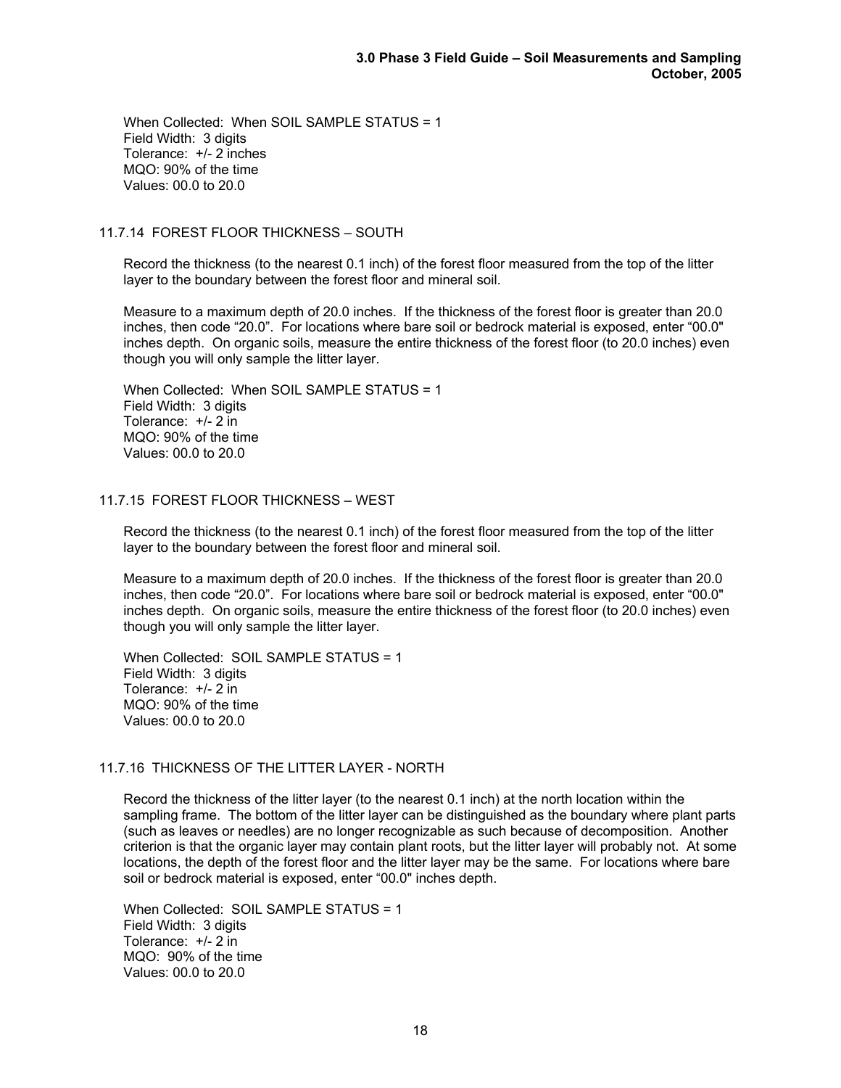When Collected: When SOIL SAMPLE STATUS = 1 Field Width: 3 digits Tolerance: +/- 2 inches MQO: 90% of the time Values: 00.0 to 20.0

# 11.7.14 FOREST FLOOR THICKNESS – SOUTH

Record the thickness (to the nearest 0.1 inch) of the forest floor measured from the top of the litter layer to the boundary between the forest floor and mineral soil.

Measure to a maximum depth of 20.0 inches. If the thickness of the forest floor is greater than 20.0 inches, then code "20.0". For locations where bare soil or bedrock material is exposed, enter "00.0" inches depth. On organic soils, measure the entire thickness of the forest floor (to 20.0 inches) even though you will only sample the litter layer.

 When Collected: When SOIL SAMPLE STATUS = 1 Field Width: 3 digits Tolerance: +/- 2 in MQO: 90% of the time Values: 00.0 to 20.0

# 11.7.15 FOREST FLOOR THICKNESS – WEST

Record the thickness (to the nearest 0.1 inch) of the forest floor measured from the top of the litter layer to the boundary between the forest floor and mineral soil.

Measure to a maximum depth of 20.0 inches. If the thickness of the forest floor is greater than 20.0 inches, then code "20.0". For locations where bare soil or bedrock material is exposed, enter "00.0" inches depth. On organic soils, measure the entire thickness of the forest floor (to 20.0 inches) even though you will only sample the litter layer.

 When Collected: SOIL SAMPLE STATUS = 1 Field Width: 3 digits Tolerance: +/- 2 in MQO: 90% of the time Values: 00.0 to 20.0

## 11.7.16 THICKNESS OF THE LITTER LAYER - NORTH

Record the thickness of the litter layer (to the nearest 0.1 inch) at the north location within the sampling frame. The bottom of the litter layer can be distinguished as the boundary where plant parts (such as leaves or needles) are no longer recognizable as such because of decomposition. Another criterion is that the organic layer may contain plant roots, but the litter layer will probably not. At some locations, the depth of the forest floor and the litter layer may be the same. For locations where bare soil or bedrock material is exposed, enter "00.0" inches depth.

 When Collected: SOIL SAMPLE STATUS = 1 Field Width: 3 digits Tolerance: +/- 2 in MQO: 90% of the time Values: 00.0 to 20.0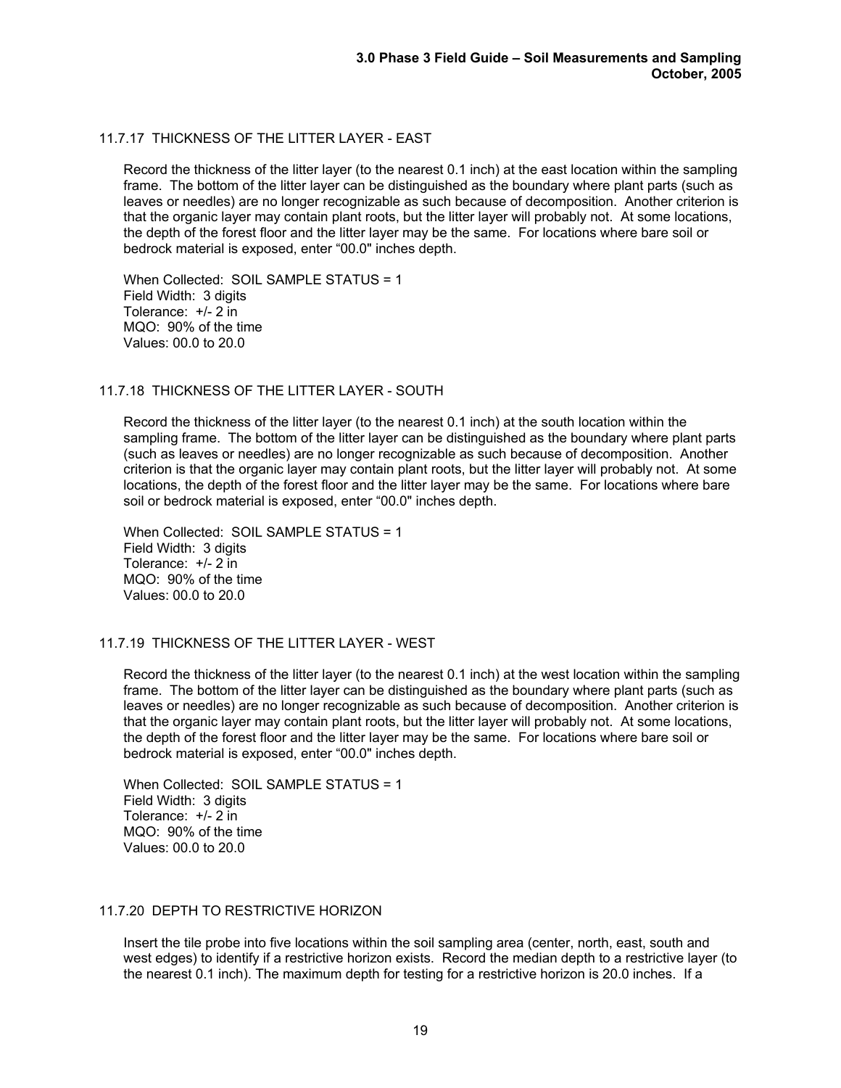# 11.7.17 THICKNESS OF THE LITTER LAYER - EAST

Record the thickness of the litter layer (to the nearest 0.1 inch) at the east location within the sampling frame. The bottom of the litter layer can be distinguished as the boundary where plant parts (such as leaves or needles) are no longer recognizable as such because of decomposition. Another criterion is that the organic layer may contain plant roots, but the litter layer will probably not. At some locations, the depth of the forest floor and the litter layer may be the same. For locations where bare soil or bedrock material is exposed, enter "00.0" inches depth.

 When Collected: SOIL SAMPLE STATUS = 1 Field Width: 3 digits Tolerance: +/- 2 in MQO: 90% of the time Values: 00.0 to 20.0

# 11.7.18 THICKNESS OF THE LITTER LAYER - SOUTH

Record the thickness of the litter layer (to the nearest 0.1 inch) at the south location within the sampling frame. The bottom of the litter layer can be distinguished as the boundary where plant parts (such as leaves or needles) are no longer recognizable as such because of decomposition. Another criterion is that the organic layer may contain plant roots, but the litter layer will probably not. At some locations, the depth of the forest floor and the litter layer may be the same. For locations where bare soil or bedrock material is exposed, enter "00.0" inches depth.

 When Collected: SOIL SAMPLE STATUS = 1 Field Width: 3 digits Tolerance: +/- 2 in MQO: 90% of the time Values: 00.0 to 20.0

## 11.7.19 THICKNESS OF THE LITTER LAYER - WEST

Record the thickness of the litter layer (to the nearest 0.1 inch) at the west location within the sampling frame. The bottom of the litter layer can be distinguished as the boundary where plant parts (such as leaves or needles) are no longer recognizable as such because of decomposition. Another criterion is that the organic layer may contain plant roots, but the litter layer will probably not. At some locations, the depth of the forest floor and the litter layer may be the same. For locations where bare soil or bedrock material is exposed, enter "00.0" inches depth.

 When Collected: SOIL SAMPLE STATUS = 1 Field Width: 3 digits Tolerance: +/- 2 in MQO: 90% of the time Values: 00.0 to 20.0

## 11.7.20 DEPTH TO RESTRICTIVE HORIZON

Insert the tile probe into five locations within the soil sampling area (center, north, east, south and west edges) to identify if a restrictive horizon exists. Record the median depth to a restrictive layer (to the nearest 0.1 inch). The maximum depth for testing for a restrictive horizon is 20.0 inches. If a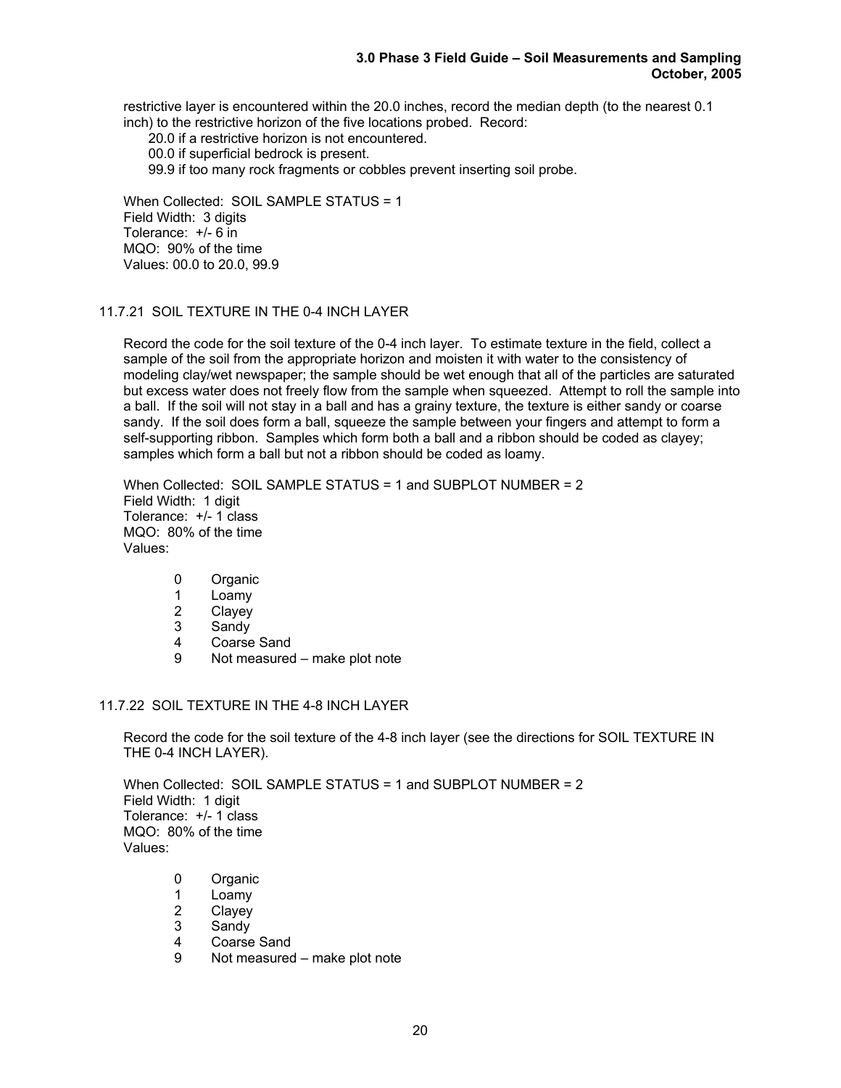restrictive layer is encountered within the 20.0 inches, record the median depth (to the nearest 0.1 inch) to the restrictive horizon of the five locations probed. Record:

20.0 if a restrictive horizon is not encountered.

00.0 if superficial bedrock is present.

99.9 if too many rock fragments or cobbles prevent inserting soil probe.

 When Collected: SOIL SAMPLE STATUS = 1 Field Width: 3 digits Tolerance: +/- 6 in MQO: 90% of the time Values: 00.0 to 20.0, 99.9

# 11.7.21 SOIL TEXTURE IN THE 0-4 INCH LAYER

Record the code for the soil texture of the 0-4 inch layer. To estimate texture in the field, collect a sample of the soil from the appropriate horizon and moisten it with water to the consistency of modeling clay/wet newspaper; the sample should be wet enough that all of the particles are saturated but excess water does not freely flow from the sample when squeezed. Attempt to roll the sample into a ball. If the soil will not stay in a ball and has a grainy texture, the texture is either sandy or coarse sandy. If the soil does form a ball, squeeze the sample between your fingers and attempt to form a self-supporting ribbon. Samples which form both a ball and a ribbon should be coded as clayey; samples which form a ball but not a ribbon should be coded as loamy.

 When Collected: SOIL SAMPLE STATUS = 1 and SUBPLOT NUMBER = 2 Field Width: 1 digit Tolerance: +/- 1 class MQO: 80% of the time Values:

- 0 Organic
- 1 Loamy
- 
- 2 Clayey<br>3 Sandy **Sandy**
- 4 Coarse Sand
- 9 Not measured make plot note

# 11.7.22 SOIL TEXTURE IN THE 4-8 INCH LAYER

 Record the code for the soil texture of the 4-8 inch layer (see the directions for SOIL TEXTURE IN THE 0-4 INCH LAYER).

 When Collected: SOIL SAMPLE STATUS = 1 and SUBPLOT NUMBER = 2 Field Width: 1 digit Tolerance: +/- 1 class MQO: 80% of the time Values:

- 0 Organic
- 1 Loamy<br>2 Clavev
- **Clavey**
- 3 Sandy
- 4 Coarse Sand
- 9 Not measured make plot note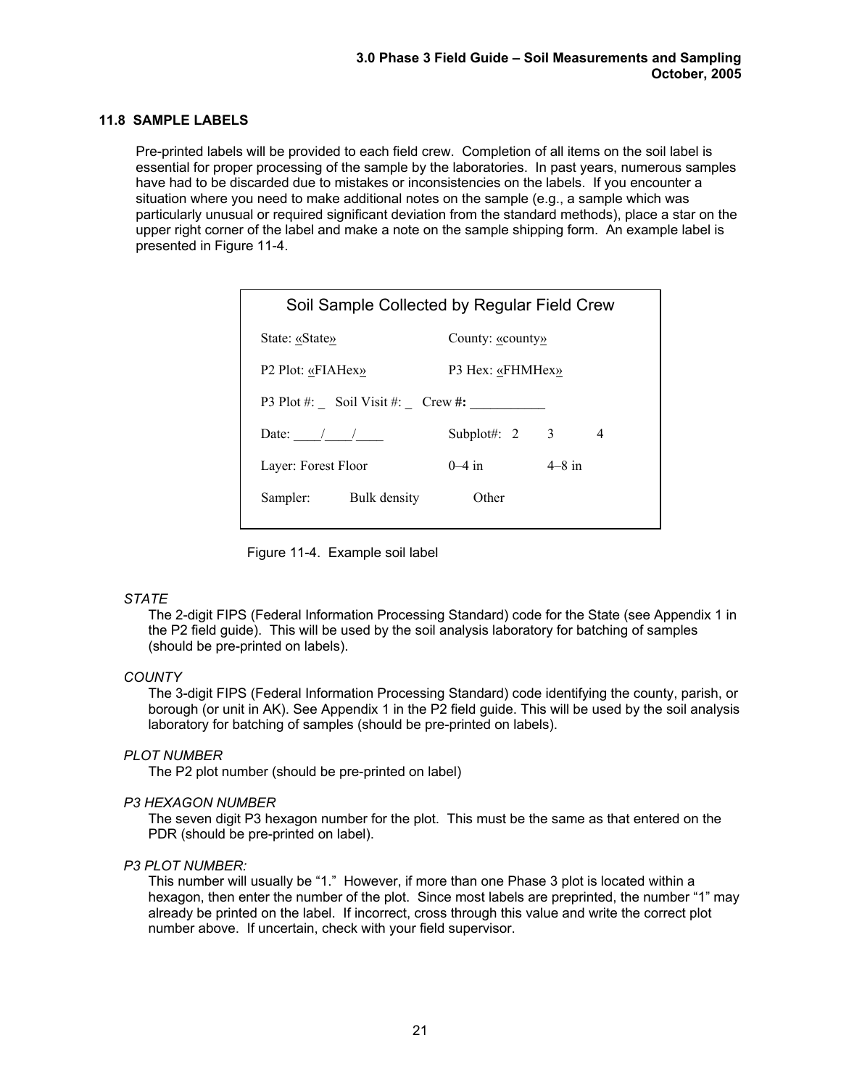# **11.8 SAMPLE LABELS**

Pre-printed labels will be provided to each field crew. Completion of all items on the soil label is essential for proper processing of the sample by the laboratories. In past years, numerous samples have had to be discarded due to mistakes or inconsistencies on the labels. If you encounter a situation where you need to make additional notes on the sample (e.g., a sample which was particularly unusual or required significant deviation from the standard methods), place a star on the upper right corner of the label and make a note on the sample shipping form. An example label is presented in Figure 11-4.

| Soil Sample Collected by Regular Field Crew |                  |          |  |  |  |
|---------------------------------------------|------------------|----------|--|--|--|
| State: «State»                              | County: «county» |          |  |  |  |
| P2 Plot: «FIAHex»                           | P3 Hex: «FHMHex» |          |  |  |  |
| P3 Plot #: Soil Visit #: Crew #:            |                  |          |  |  |  |
| Date: $/$ /                                 | Subplot#: $2$    | 3<br>4   |  |  |  |
| Laver: Forest Floor                         | $0-4$ in         | $4-8$ in |  |  |  |
| Sampler:<br>Bulk density                    | Other            |          |  |  |  |
|                                             |                  |          |  |  |  |

Figure 11-4. Example soil label

## *STATE*

The 2-digit FIPS (Federal Information Processing Standard) code for the State (see Appendix 1 in the P2 field guide). This will be used by the soil analysis laboratory for batching of samples (should be pre-printed on labels).

## *COUNTY*

The 3-digit FIPS (Federal Information Processing Standard) code identifying the county, parish, or borough (or unit in AK). See Appendix 1 in the P2 field guide. This will be used by the soil analysis laboratory for batching of samples (should be pre-printed on labels).

## *PLOT NUMBER*

The P2 plot number (should be pre-printed on label)

## *P3 HEXAGON NUMBER*

The seven digit P3 hexagon number for the plot. This must be the same as that entered on the PDR (should be pre-printed on label).

## *P3 PLOT NUMBER:*

 This number will usually be "1." However, if more than one Phase 3 plot is located within a hexagon, then enter the number of the plot. Since most labels are preprinted, the number "1" may already be printed on the label. If incorrect, cross through this value and write the correct plot number above. If uncertain, check with your field supervisor.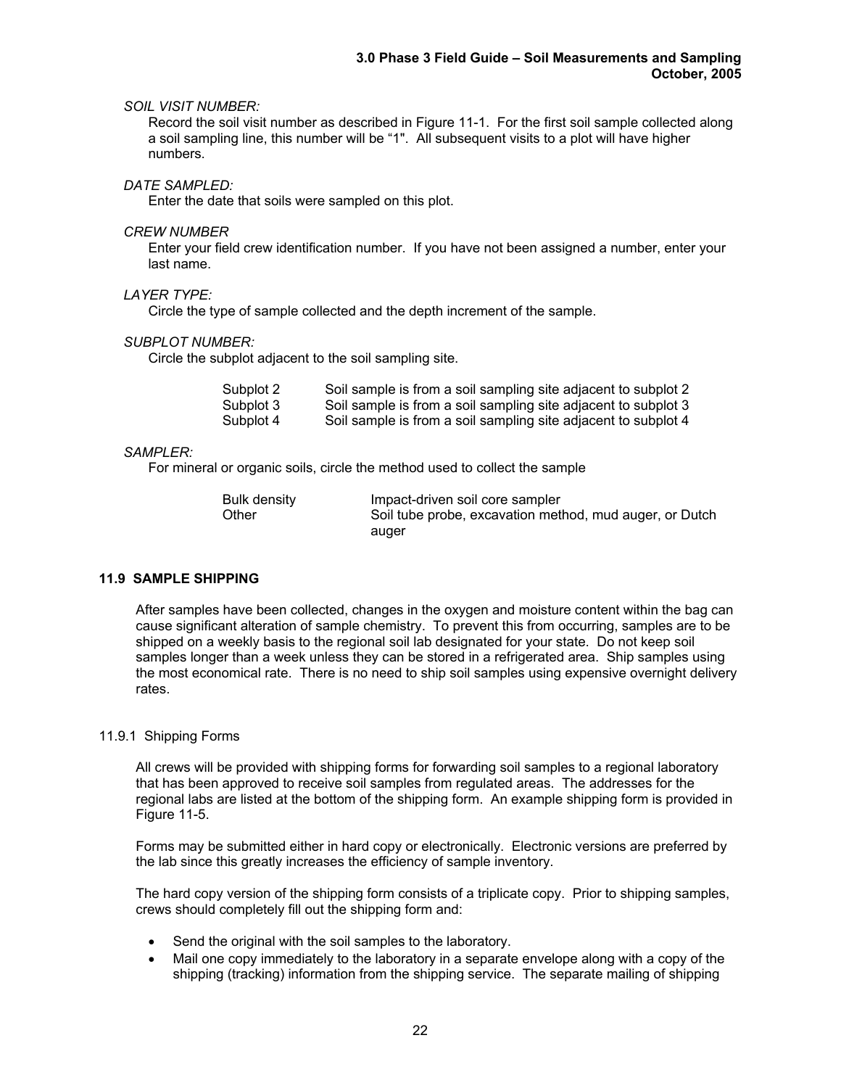# *SOIL VISIT NUMBER:*

 Record the soil visit number as described in Figure 11-1. For the first soil sample collected along a soil sampling line, this number will be "1". All subsequent visits to a plot will have higher numbers.

# *DATE SAMPLED:*

Enter the date that soils were sampled on this plot.

## *CREW NUMBER*

Enter your field crew identification number. If you have not been assigned a number, enter your last name.

# *LAYER TYPE:*

Circle the type of sample collected and the depth increment of the sample.

# *SUBPLOT NUMBER:*

Circle the subplot adjacent to the soil sampling site.

| Subplot 2 | Soil sample is from a soil sampling site adjacent to subplot 2 |  |  |  |
|-----------|----------------------------------------------------------------|--|--|--|
| Subplot 3 | Soil sample is from a soil sampling site adjacent to subplot 3 |  |  |  |
| Subplot 4 | Soil sample is from a soil sampling site adjacent to subplot 4 |  |  |  |

## *SAMPLER:*

For mineral or organic soils, circle the method used to collect the sample

| Bulk density | Impact-driven soil core sampler                         |
|--------------|---------------------------------------------------------|
| ⊃ther        | Soil tube probe, excavation method, mud auger, or Dutch |
|              | auger                                                   |

# **11.9 SAMPLE SHIPPING**

After samples have been collected, changes in the oxygen and moisture content within the bag can cause significant alteration of sample chemistry. To prevent this from occurring, samples are to be shipped on a weekly basis to the regional soil lab designated for your state. Do not keep soil samples longer than a week unless they can be stored in a refrigerated area. Ship samples using the most economical rate. There is no need to ship soil samples using expensive overnight delivery rates.

## 11.9.1 Shipping Forms

All crews will be provided with shipping forms for forwarding soil samples to a regional laboratory that has been approved to receive soil samples from regulated areas. The addresses for the regional labs are listed at the bottom of the shipping form. An example shipping form is provided in Figure 11-5.

Forms may be submitted either in hard copy or electronically. Electronic versions are preferred by the lab since this greatly increases the efficiency of sample inventory.

The hard copy version of the shipping form consists of a triplicate copy. Prior to shipping samples, crews should completely fill out the shipping form and:

- Send the original with the soil samples to the laboratory.
- Mail one copy immediately to the laboratory in a separate envelope along with a copy of the shipping (tracking) information from the shipping service. The separate mailing of shipping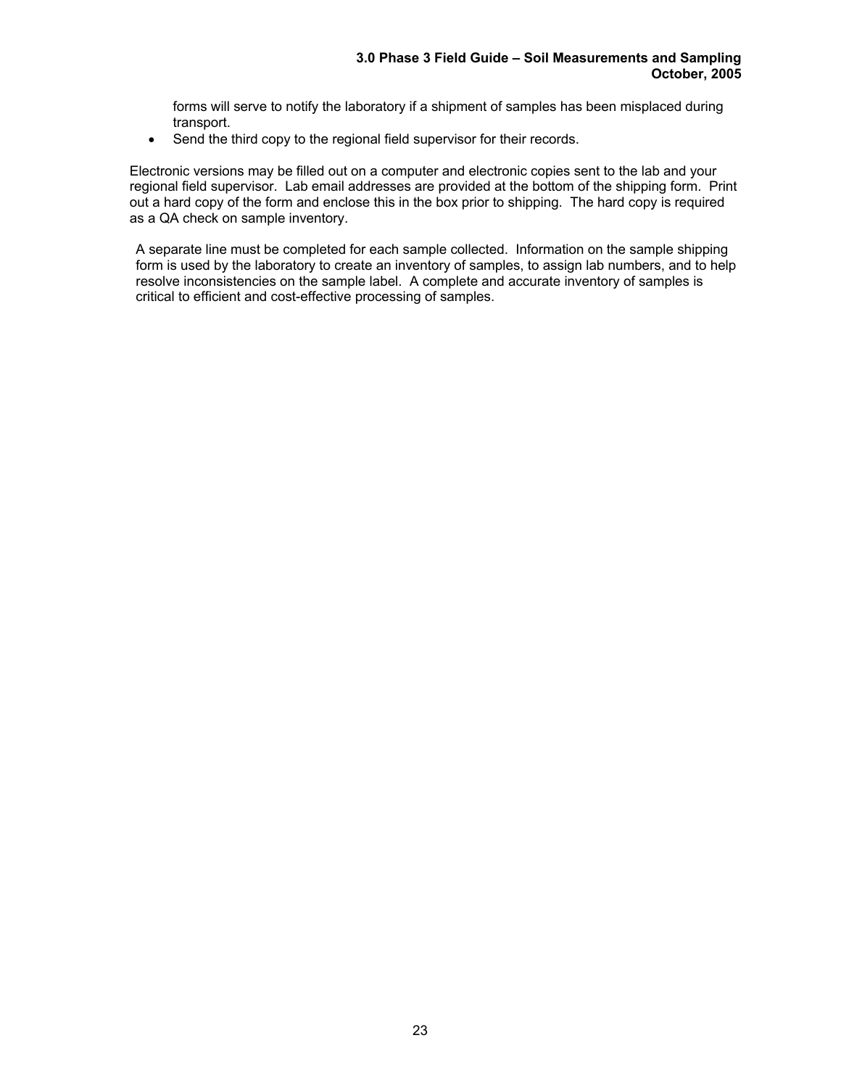forms will serve to notify the laboratory if a shipment of samples has been misplaced during transport.

• Send the third copy to the regional field supervisor for their records.

Electronic versions may be filled out on a computer and electronic copies sent to the lab and your regional field supervisor. Lab email addresses are provided at the bottom of the shipping form. Print out a hard copy of the form and enclose this in the box prior to shipping. The hard copy is required as a QA check on sample inventory.

A separate line must be completed for each sample collected. Information on the sample shipping form is used by the laboratory to create an inventory of samples, to assign lab numbers, and to help resolve inconsistencies on the sample label. A complete and accurate inventory of samples is critical to efficient and cost-effective processing of samples.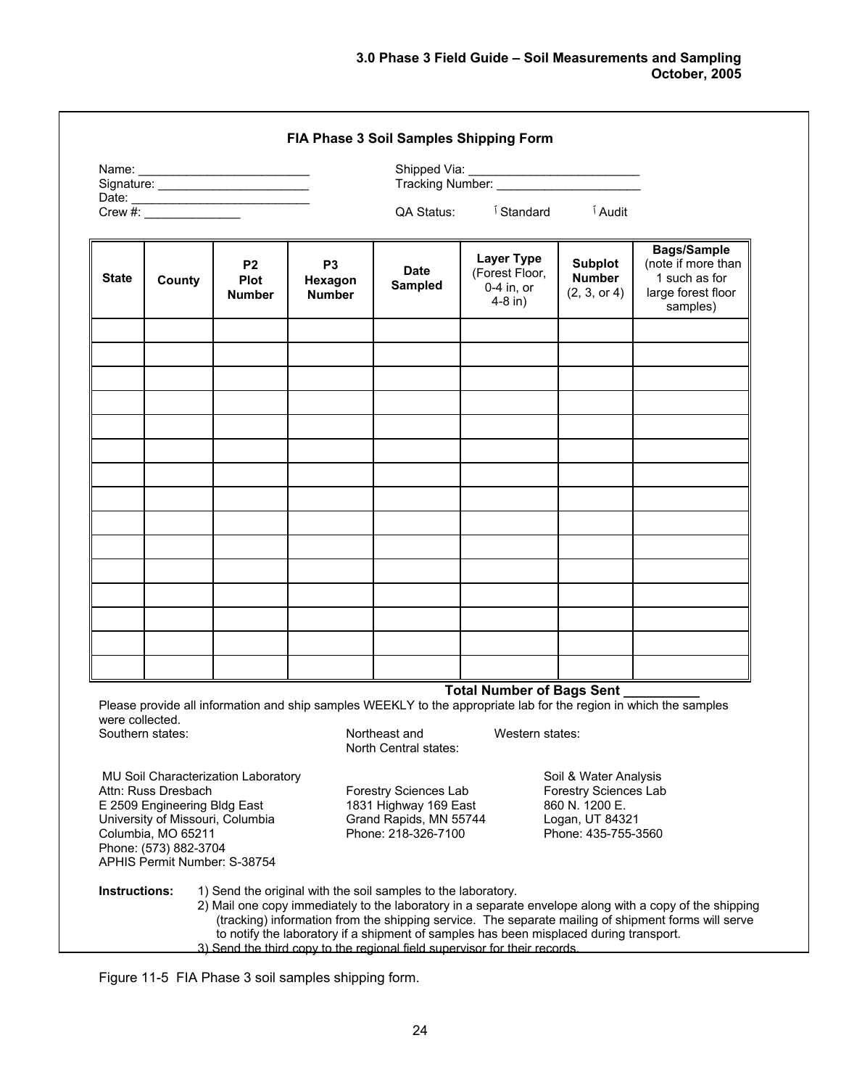|                 |                                                                                                                                                                        | Signature: _________________________      |                                                                            |                                                                                                                                                         |                                                              |                                                                                                            |                                                                                                                                                                                                                |
|-----------------|------------------------------------------------------------------------------------------------------------------------------------------------------------------------|-------------------------------------------|----------------------------------------------------------------------------|---------------------------------------------------------------------------------------------------------------------------------------------------------|--------------------------------------------------------------|------------------------------------------------------------------------------------------------------------|----------------------------------------------------------------------------------------------------------------------------------------------------------------------------------------------------------------|
|                 |                                                                                                                                                                        | Date: $\frac{1}{\text{Crew #:}}$          |                                                                            | QA Status:                                                                                                                                              | <sup>1</sup> Standard                                        | <sup>1</sup> Audit                                                                                         |                                                                                                                                                                                                                |
| <b>State</b>    | County                                                                                                                                                                 | <b>P2</b><br><b>Plot</b><br><b>Number</b> | P <sub>3</sub><br>Hexagon<br><b>Number</b>                                 | <b>Date</b><br>Sampled                                                                                                                                  | <b>Layer Type</b><br>(Forest Floor,<br>0-4 in, or<br>4-8 in) | <b>Subplot</b><br><b>Number</b><br>(2, 3, or 4)                                                            | <b>Bags/Sample</b><br>(note if more than<br>1 such as for<br>large forest floor<br>samples)                                                                                                                    |
|                 |                                                                                                                                                                        |                                           |                                                                            |                                                                                                                                                         |                                                              |                                                                                                            |                                                                                                                                                                                                                |
|                 |                                                                                                                                                                        |                                           |                                                                            |                                                                                                                                                         |                                                              |                                                                                                            |                                                                                                                                                                                                                |
|                 |                                                                                                                                                                        |                                           |                                                                            |                                                                                                                                                         |                                                              |                                                                                                            |                                                                                                                                                                                                                |
|                 |                                                                                                                                                                        |                                           |                                                                            |                                                                                                                                                         |                                                              |                                                                                                            |                                                                                                                                                                                                                |
|                 |                                                                                                                                                                        |                                           |                                                                            |                                                                                                                                                         |                                                              |                                                                                                            |                                                                                                                                                                                                                |
|                 |                                                                                                                                                                        |                                           |                                                                            |                                                                                                                                                         |                                                              |                                                                                                            |                                                                                                                                                                                                                |
|                 |                                                                                                                                                                        |                                           |                                                                            |                                                                                                                                                         |                                                              |                                                                                                            |                                                                                                                                                                                                                |
|                 |                                                                                                                                                                        |                                           |                                                                            |                                                                                                                                                         |                                                              |                                                                                                            |                                                                                                                                                                                                                |
|                 |                                                                                                                                                                        |                                           |                                                                            |                                                                                                                                                         | Total Number of Bags Sent _                                  |                                                                                                            | Please provide all information and ship samples WEEKLY to the appropriate lab for the region in which the samples                                                                                              |
| were collected. | Southern states:                                                                                                                                                       |                                           |                                                                            | Northeast and Western states:<br>North Central states:                                                                                                  |                                                              |                                                                                                            |                                                                                                                                                                                                                |
|                 | Attn: Russ Dresbach<br>E 2509 Engineering Bldg East<br>University of Missouri, Columbia<br>Columbia, MO 65211<br>Phone: (573) 882-3704<br>APHIS Permit Number: S-38754 | MU Soil Characterization Laboratory       |                                                                            | Forestry Sciences Lab<br>1831 Highway 169 East<br>Grand Rapids, MN 55744<br>Phone: 218-326-7100                                                         |                                                              | Soil & Water Analysis<br>Forestry Sciences Lab<br>860 N. 1200 E.<br>Logan, UT 84321<br>Phone: 435-755-3560 |                                                                                                                                                                                                                |
| Instructions:   |                                                                                                                                                                        |                                           | 3) Send the third copy to the regional field supervisor for their records. | 1) Send the original with the soil samples to the laboratory.<br>to notify the laboratory if a shipment of samples has been misplaced during transport. |                                                              |                                                                                                            | 2) Mail one copy immediately to the laboratory in a separate envelope along with a copy of the shipping<br>(tracking) information from the shipping service. The separate mailing of shipment forms will serve |

Figure 11-5 FIA Phase 3 soil samples shipping form.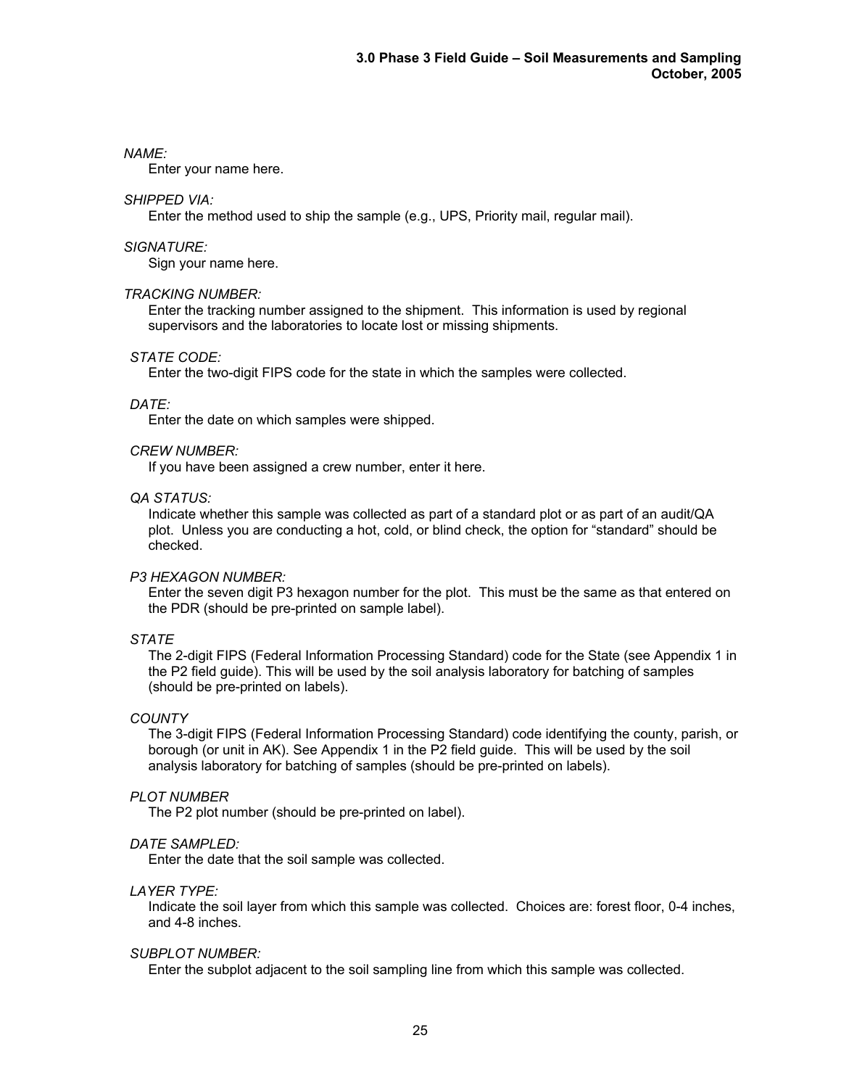## *NAME:*

Enter your name here.

# *SHIPPED VIA:*

Enter the method used to ship the sample (e.g., UPS, Priority mail, regular mail).

# *SIGNATURE:*

Sign your name here.

## *TRACKING NUMBER:*

Enter the tracking number assigned to the shipment. This information is used by regional supervisors and the laboratories to locate lost or missing shipments.

## *STATE CODE:*

Enter the two-digit FIPS code for the state in which the samples were collected.

# *DATE:*

Enter the date on which samples were shipped.

## *CREW NUMBER:*

If you have been assigned a crew number, enter it here.

## *QA STATUS:*

Indicate whether this sample was collected as part of a standard plot or as part of an audit/QA plot. Unless you are conducting a hot, cold, or blind check, the option for "standard" should be checked.

## *P3 HEXAGON NUMBER:*

 Enter the seven digit P3 hexagon number for the plot. This must be the same as that entered on the PDR (should be pre-printed on sample label).

## *STATE*

The 2-digit FIPS (Federal Information Processing Standard) code for the State (see Appendix 1 in the P2 field guide). This will be used by the soil analysis laboratory for batching of samples (should be pre-printed on labels).

## *COUNTY*

The 3-digit FIPS (Federal Information Processing Standard) code identifying the county, parish, or borough (or unit in AK). See Appendix 1 in the P2 field guide. This will be used by the soil analysis laboratory for batching of samples (should be pre-printed on labels).

## *PLOT NUMBER*

The P2 plot number (should be pre-printed on label).

## *DATE SAMPLED:*

Enter the date that the soil sample was collected.

## *LAYER TYPE:*

 Indicate the soil layer from which this sample was collected. Choices are: forest floor, 0-4 inches, and 4-8 inches.

## *SUBPLOT NUMBER:*

Enter the subplot adjacent to the soil sampling line from which this sample was collected.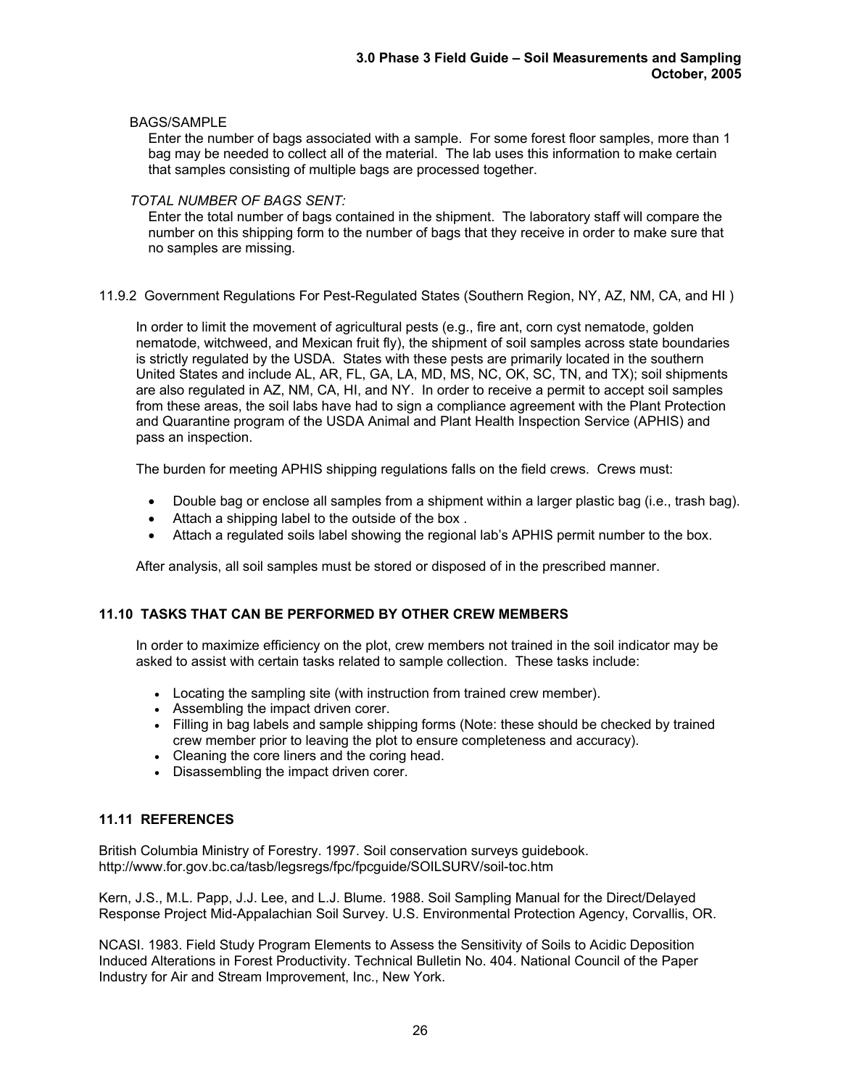# BAGS/SAMPLE

 Enter the number of bags associated with a sample. For some forest floor samples, more than 1 bag may be needed to collect all of the material. The lab uses this information to make certain that samples consisting of multiple bags are processed together.

# *TOTAL NUMBER OF BAGS SENT:*

Enter the total number of bags contained in the shipment. The laboratory staff will compare the number on this shipping form to the number of bags that they receive in order to make sure that no samples are missing.

11.9.2 Government Regulations For Pest-Regulated States (Southern Region, NY, AZ, NM, CA, and HI )

In order to limit the movement of agricultural pests (e.g., fire ant, corn cyst nematode, golden nematode, witchweed, and Mexican fruit fly), the shipment of soil samples across state boundaries is strictly regulated by the USDA. States with these pests are primarily located in the southern United States and include AL, AR, FL, GA, LA, MD, MS, NC, OK, SC, TN, and TX); soil shipments are also regulated in AZ, NM, CA, HI, and NY. In order to receive a permit to accept soil samples from these areas, the soil labs have had to sign a compliance agreement with the Plant Protection and Quarantine program of the USDA Animal and Plant Health Inspection Service (APHIS) and pass an inspection.

The burden for meeting APHIS shipping regulations falls on the field crews. Crews must:

- Double bag or enclose all samples from a shipment within a larger plastic bag (i.e., trash bag).
- Attach a shipping label to the outside of the box .
- Attach a regulated soils label showing the regional lab's APHIS permit number to the box.

After analysis, all soil samples must be stored or disposed of in the prescribed manner.

# **11.10 TASKS THAT CAN BE PERFORMED BY OTHER CREW MEMBERS**

In order to maximize efficiency on the plot, crew members not trained in the soil indicator may be asked to assist with certain tasks related to sample collection. These tasks include:

- Locating the sampling site (with instruction from trained crew member).
- Assembling the impact driven corer.
- Filling in bag labels and sample shipping forms (Note: these should be checked by trained crew member prior to leaving the plot to ensure completeness and accuracy).
- Cleaning the core liners and the coring head.
- Disassembling the impact driven corer.

# **11.11 REFERENCES**

British Columbia Ministry of Forestry. 1997. Soil conservation surveys guidebook. http://www.for.gov.bc.ca/tasb/legsregs/fpc/fpcguide/SOILSURV/soil-toc.htm

Kern, J.S., M.L. Papp, J.J. Lee, and L.J. Blume. 1988. Soil Sampling Manual for the Direct/Delayed Response Project Mid-Appalachian Soil Survey. U.S. Environmental Protection Agency, Corvallis, OR.

NCASI. 1983. Field Study Program Elements to Assess the Sensitivity of Soils to Acidic Deposition Induced Alterations in Forest Productivity. Technical Bulletin No. 404. National Council of the Paper Industry for Air and Stream Improvement, Inc., New York.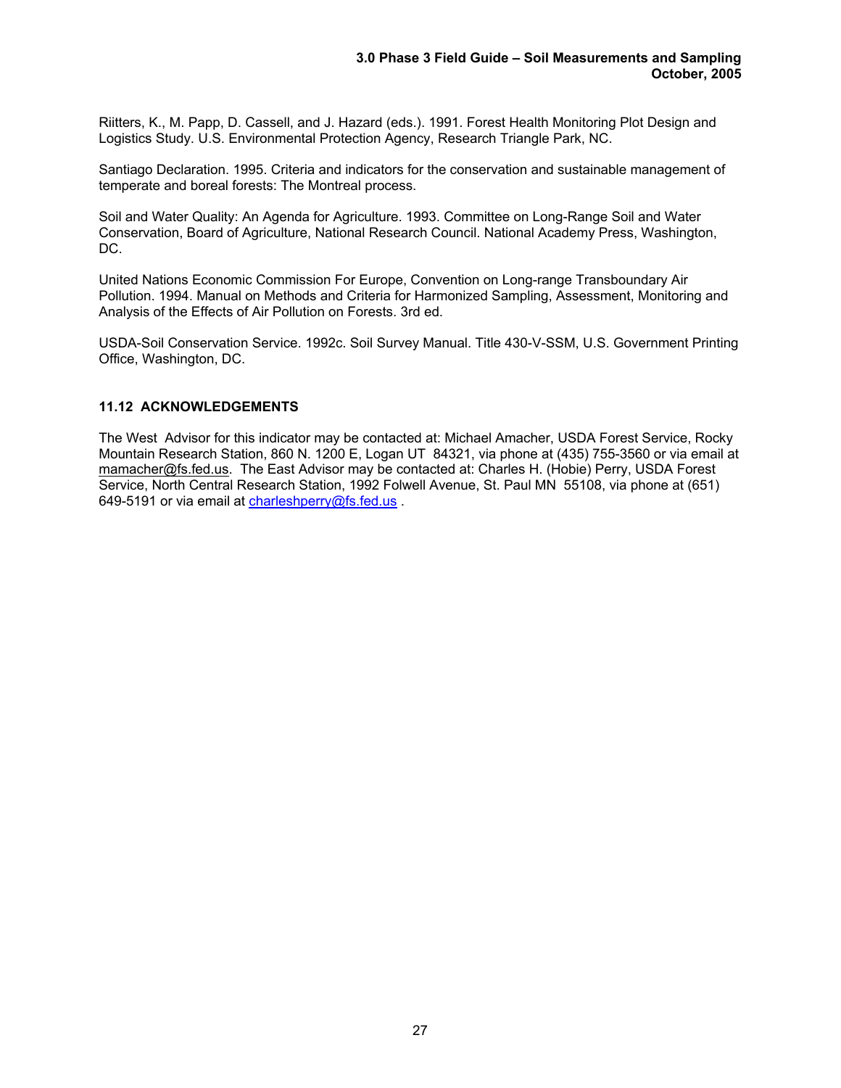Riitters, K., M. Papp, D. Cassell, and J. Hazard (eds.). 1991. Forest Health Monitoring Plot Design and Logistics Study. U.S. Environmental Protection Agency, Research Triangle Park, NC.

Santiago Declaration. 1995. Criteria and indicators for the conservation and sustainable management of temperate and boreal forests: The Montreal process.

Soil and Water Quality: An Agenda for Agriculture. 1993. Committee on Long-Range Soil and Water Conservation, Board of Agriculture, National Research Council. National Academy Press, Washington, DC.

United Nations Economic Commission For Europe, Convention on Long-range Transboundary Air Pollution. 1994. Manual on Methods and Criteria for Harmonized Sampling, Assessment, Monitoring and Analysis of the Effects of Air Pollution on Forests. 3rd ed.

USDA-Soil Conservation Service. 1992c. Soil Survey Manual. Title 430-V-SSM, U.S. Government Printing Office, Washington, DC.

## **11.12 ACKNOWLEDGEMENTS**

The West Advisor for this indicator may be contacted at: Michael Amacher, USDA Forest Service, Rocky Mountain Research Station, 860 N. 1200 E, Logan UT 84321, via phone at (435) 755-3560 or via email at mamacher@fs.fed.us. The East Advisor may be contacted at: Charles H. (Hobie) Perry, USDA Forest Service, North Central Research Station, 1992 Folwell Avenue, St. Paul MN 55108, via phone at (651) 649-5191 or via email at charleshperry@fs.fed.us.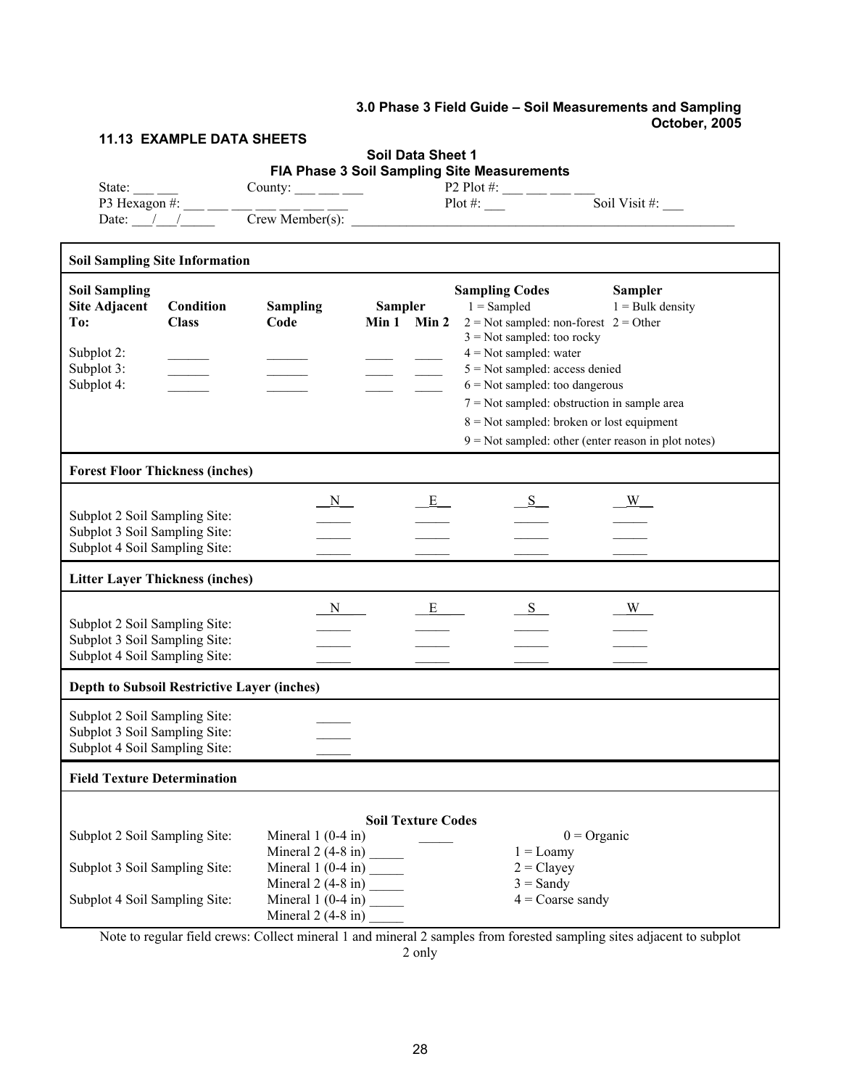# **3.0 Phase 3 Field Guide – Soil Measurements and Sampling October, 2005**

T

# **11.13 EXAMPLE DATA SHEETS**

 $\Gamma$ 

# **Soil Data Sheet 1 FIA Phase 3 Soil Sampling Site Measurements**

| State:        | County:           | P2 Plot #: |               |
|---------------|-------------------|------------|---------------|
| P3 Hexagon #: |                   | Plot #:    | Soil Visit #: |
| Date:         | $Crew$ Member(s): |            |               |

| <b>Soil Sampling Site Information</b>                                                           |                           |                                            |                               |                                                                                                                                                                                                                                                                                                                                                                                  |                                      |
|-------------------------------------------------------------------------------------------------|---------------------------|--------------------------------------------|-------------------------------|----------------------------------------------------------------------------------------------------------------------------------------------------------------------------------------------------------------------------------------------------------------------------------------------------------------------------------------------------------------------------------|--------------------------------------|
| <b>Soil Sampling</b><br><b>Site Adjacent</b><br>To:<br>Subplot 2:<br>Subplot 3:<br>Subplot 4:   | Condition<br><b>Class</b> | <b>Sampling</b><br>Code                    | <b>Sampler</b><br>Min 1 Min 2 | <b>Sampling Codes</b><br>$1 =$ Sampled<br>$2$ = Not sampled: non-forest $2$ = Other<br>$3$ = Not sampled: too rocky<br>$4 = Not sampled: water$<br>$5 = Not sampled: access denied$<br>$6$ = Not sampled: too dangerous<br>$7 = Not sampled: obstruction in sample area$<br>$8 =$ Not sampled: broken or lost equipment<br>$9 = Not sampled: other (enter reason in plot notes)$ | <b>Sampler</b><br>$1 =$ Bulk density |
| <b>Forest Floor Thickness (inches)</b>                                                          |                           |                                            |                               |                                                                                                                                                                                                                                                                                                                                                                                  |                                      |
| Subplot 2 Soil Sampling Site:<br>Subplot 3 Soil Sampling Site:<br>Subplot 4 Soil Sampling Site: |                           | $\overline{N}$                             | E                             | S                                                                                                                                                                                                                                                                                                                                                                                | W                                    |
| <b>Litter Layer Thickness (inches)</b>                                                          |                           |                                            |                               |                                                                                                                                                                                                                                                                                                                                                                                  |                                      |
| Subplot 2 Soil Sampling Site:<br>Subplot 3 Soil Sampling Site:<br>Subplot 4 Soil Sampling Site: |                           | N                                          | E                             | S                                                                                                                                                                                                                                                                                                                                                                                | W                                    |
| Depth to Subsoil Restrictive Layer (inches)                                                     |                           |                                            |                               |                                                                                                                                                                                                                                                                                                                                                                                  |                                      |
| Subplot 2 Soil Sampling Site:<br>Subplot 3 Soil Sampling Site:<br>Subplot 4 Soil Sampling Site: |                           |                                            |                               |                                                                                                                                                                                                                                                                                                                                                                                  |                                      |
| <b>Field Texture Determination</b>                                                              |                           |                                            |                               |                                                                                                                                                                                                                                                                                                                                                                                  |                                      |
| Subplot 2 Soil Sampling Site:                                                                   |                           | Mineral $1(0-4$ in)                        | <b>Soil Texture Codes</b>     |                                                                                                                                                                                                                                                                                                                                                                                  | $0 = \text{Organic}$                 |
| Subplot 3 Soil Sampling Site:                                                                   |                           | Mineral $2(4-8$ in) ________               |                               | $1 =$ Loamy<br>$2 = \text{Clayey}$<br>$3 =$ Sandy                                                                                                                                                                                                                                                                                                                                |                                      |
| Subplot 4 Soil Sampling Site:                                                                   |                           | Mineral $1(0-4$ in)<br>Mineral $2(4-8$ in) |                               | $4 = \text{Coarse}$ sandy                                                                                                                                                                                                                                                                                                                                                        |                                      |

Note to regular field crews: Collect mineral 1 and mineral 2 samples from forested sampling sites adjacent to subplot 2 only